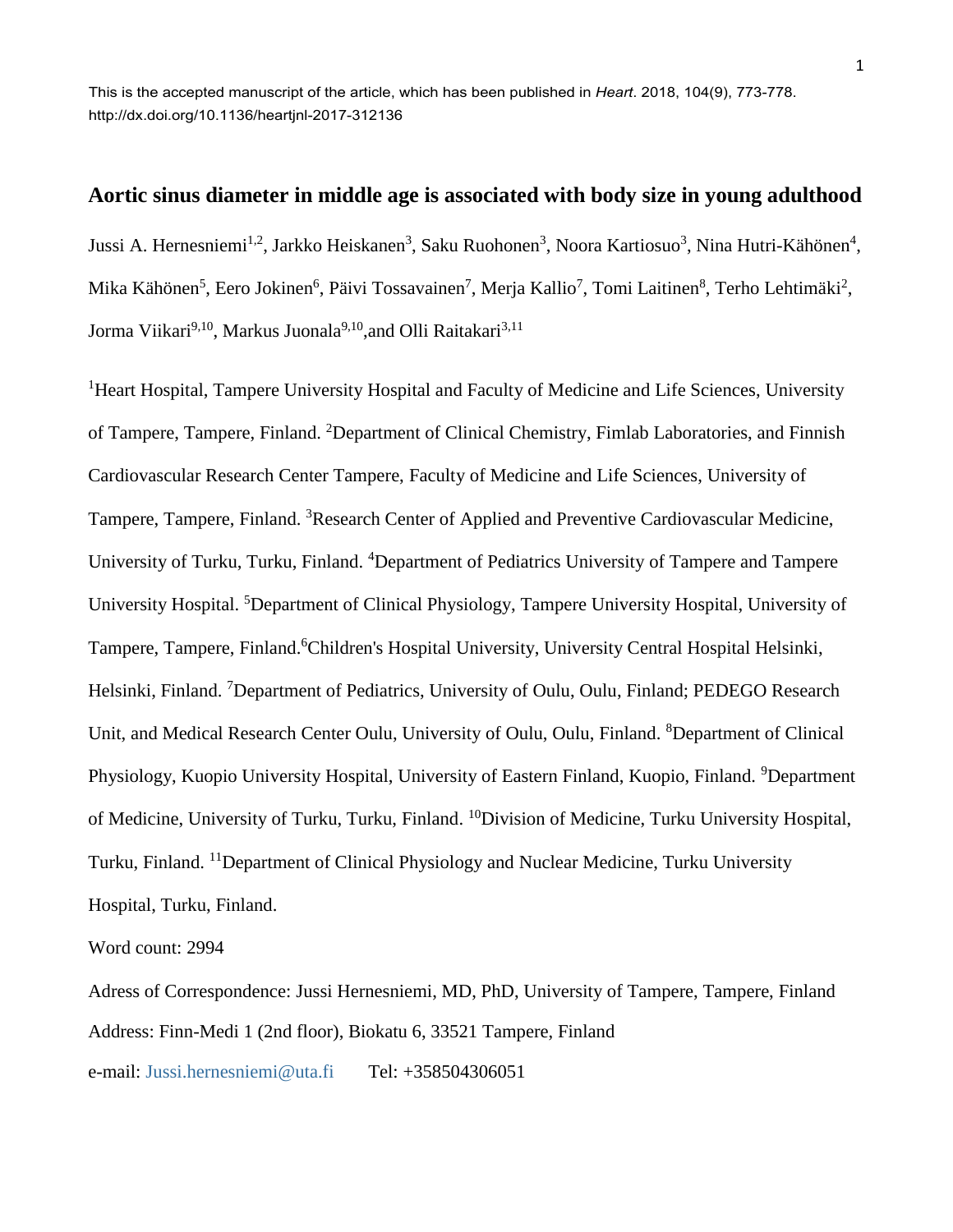This is the accepted manuscript of the article, which has been published in *Heart*. 2018, 104(9), 773-778. http://dx.doi.org/10.1136/heartjnl-2017-312136

# **Aortic sinus diameter in middle age is associated with body size in young adulthood**

Jussi A. Hernesniemi<sup>1,2</sup>, Jarkko Heiskanen<sup>3</sup>, Saku Ruohonen<sup>3</sup>, Noora Kartiosuo<sup>3</sup>, Nina Hutri-Kähönen<sup>4</sup>, Mika Kähönen<sup>5</sup>, Eero Jokinen<sup>6</sup>, Päivi Tossavainen<sup>7</sup>, Merja Kallio<sup>7</sup>, Tomi Laitinen<sup>8</sup>, Terho Lehtimäki<sup>2</sup>, Jorma Viikari<sup>9,10</sup>, Markus Juonala<sup>9,10</sup>,and Olli Raitakari<sup>3,11</sup>

<sup>1</sup>Heart Hospital, Tampere University Hospital and Faculty of Medicine and Life Sciences, University of Tampere, Tampere, Finland. <sup>2</sup>Department of Clinical Chemistry, Fimlab Laboratories, and Finnish Cardiovascular Research Center Tampere, Faculty of Medicine and Life Sciences, University of Tampere, Tampere, Finland. <sup>3</sup>Research Center of Applied and Preventive Cardiovascular Medicine, University of Turku, Turku, Finland. <sup>4</sup>Department of Pediatrics University of Tampere and Tampere University Hospital. <sup>5</sup>Department of Clinical Physiology, Tampere University Hospital, University of Tampere, Tampere, Finland.<sup>6</sup>Children's Hospital University, University Central Hospital Helsinki, Helsinki, Finland. <sup>7</sup>Department of Pediatrics, University of Oulu, Oulu, Finland; PEDEGO Research Unit, and Medical Research Center Oulu, University of Oulu, Oulu, Finland. <sup>8</sup>Department of Clinical Physiology, Kuopio University Hospital, University of Eastern Finland, Kuopio, Finland. <sup>9</sup>Department of Medicine, University of Turku, Turku, Finland. <sup>10</sup>Division of Medicine, Turku University Hospital, Turku, Finland. <sup>11</sup>Department of Clinical Physiology and Nuclear Medicine, Turku University Hospital, Turku, Finland.

Word count: 2994

Adress of Correspondence: Jussi Hernesniemi, MD, PhD, University of Tampere, Tampere, Finland Address: Finn-Medi 1 (2nd floor), Biokatu 6, 33521 Tampere, Finland

e-mail: [Jussi.hernesniemi@uta.fi](mailto:Jussi.hernesniemi@uta.fi) Tel: +358504306051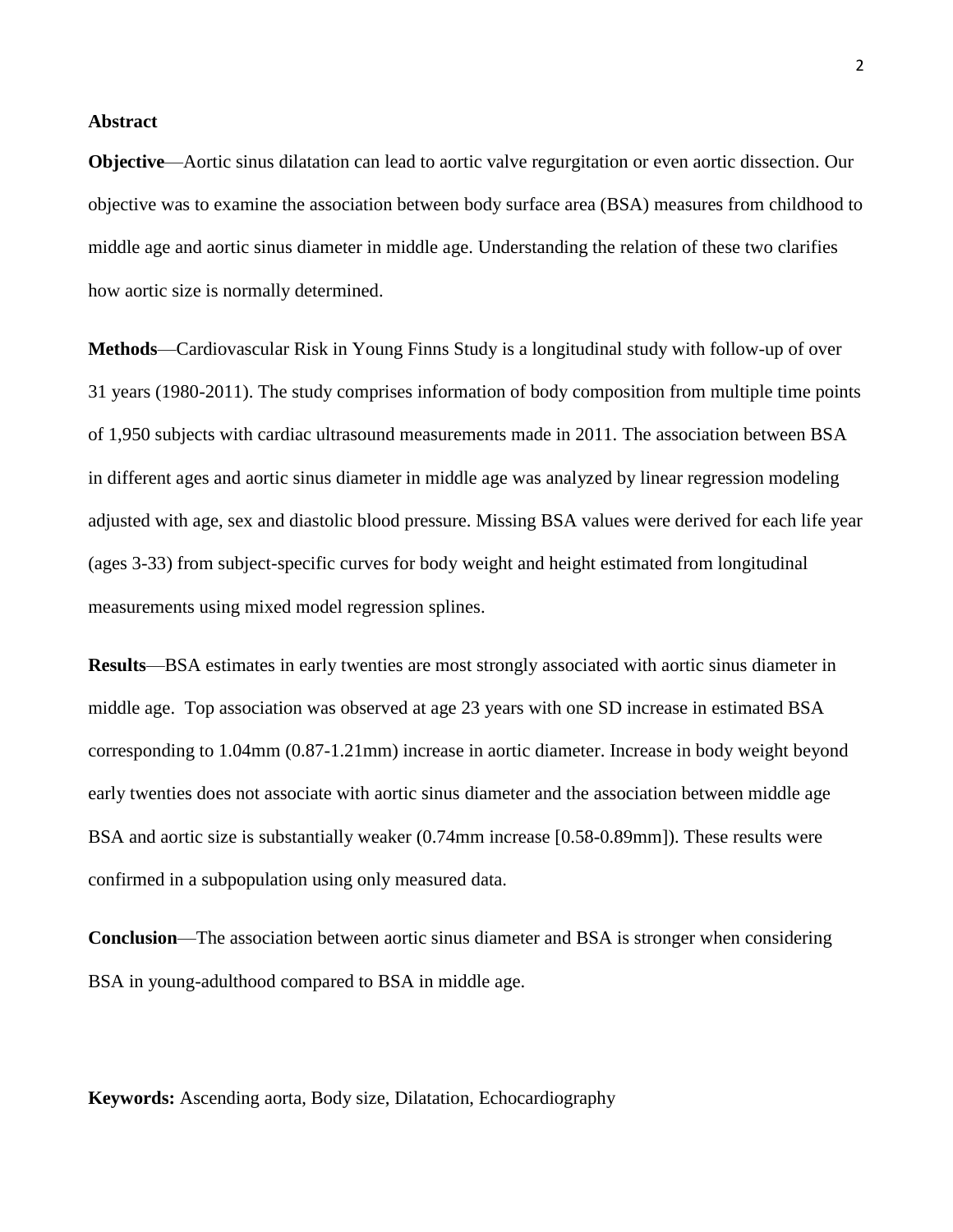## **Abstract**

**Objective**—Aortic sinus dilatation can lead to aortic valve regurgitation or even aortic dissection. Our objective was to examine the association between body surface area (BSA) measures from childhood to middle age and aortic sinus diameter in middle age. Understanding the relation of these two clarifies how aortic size is normally determined.

**Methods**—Cardiovascular Risk in Young Finns Study is a longitudinal study with follow-up of over 31 years (1980-2011). The study comprises information of body composition from multiple time points of 1,950 subjects with cardiac ultrasound measurements made in 2011. The association between BSA in different ages and aortic sinus diameter in middle age was analyzed by linear regression modeling adjusted with age, sex and diastolic blood pressure. Missing BSA values were derived for each life year (ages 3-33) from subject-specific curves for body weight and height estimated from longitudinal measurements using mixed model regression splines.

**Results**—BSA estimates in early twenties are most strongly associated with aortic sinus diameter in middle age. Top association was observed at age 23 years with one SD increase in estimated BSA corresponding to 1.04mm (0.87-1.21mm) increase in aortic diameter. Increase in body weight beyond early twenties does not associate with aortic sinus diameter and the association between middle age BSA and aortic size is substantially weaker (0.74mm increase [0.58-0.89mm]). These results were confirmed in a subpopulation using only measured data.

**Conclusion**—The association between aortic sinus diameter and BSA is stronger when considering BSA in young-adulthood compared to BSA in middle age.

**Keywords:** Ascending aorta, Body size, Dilatation, Echocardiography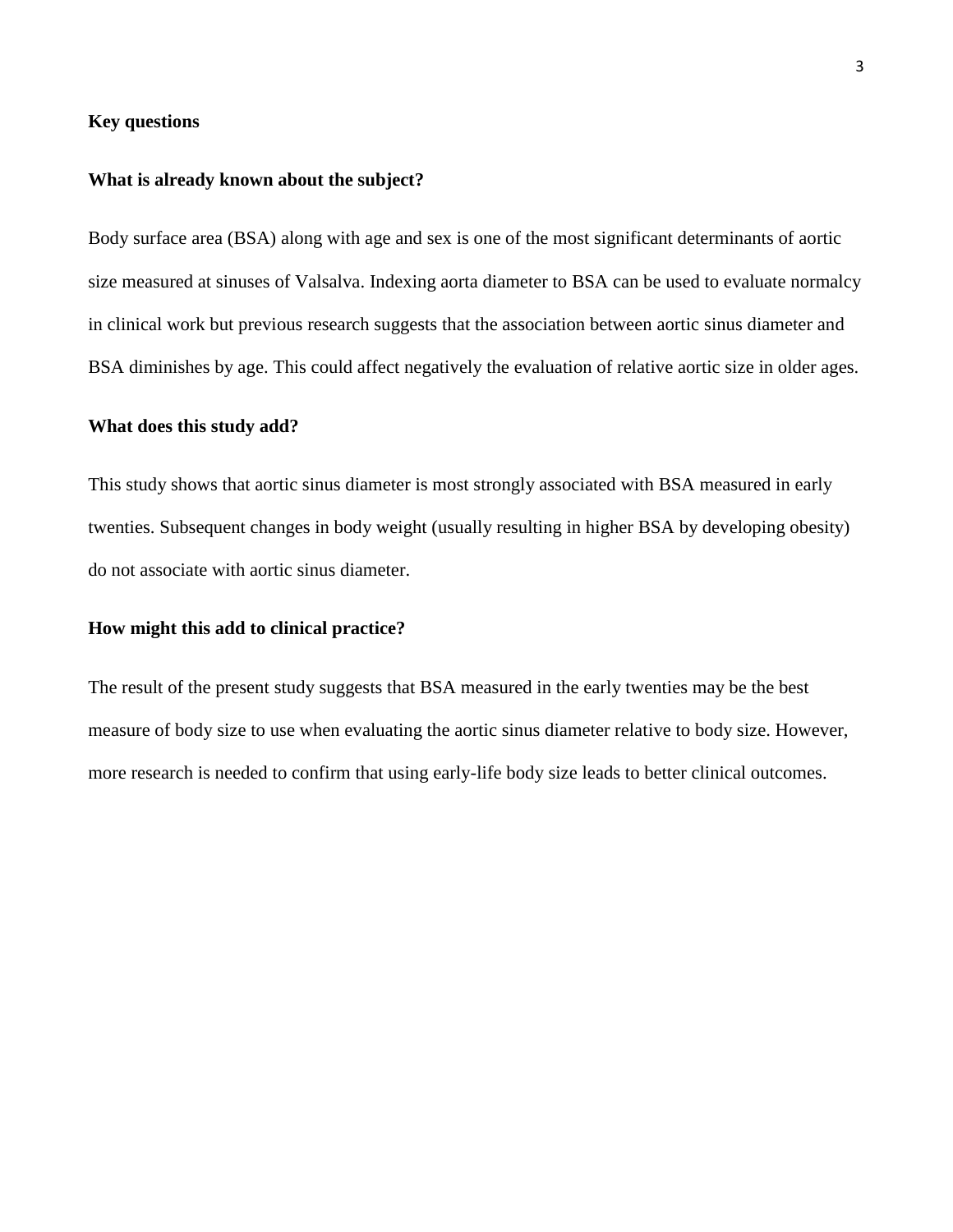## **Key questions**

#### **What is already known about the subject?**

Body surface area (BSA) along with age and sex is one of the most significant determinants of aortic size measured at sinuses of Valsalva. Indexing aorta diameter to BSA can be used to evaluate normalcy in clinical work but previous research suggests that the association between aortic sinus diameter and BSA diminishes by age. This could affect negatively the evaluation of relative aortic size in older ages.

#### **What does this study add?**

This study shows that aortic sinus diameter is most strongly associated with BSA measured in early twenties. Subsequent changes in body weight (usually resulting in higher BSA by developing obesity) do not associate with aortic sinus diameter.

## **How might this add to clinical practice?**

The result of the present study suggests that BSA measured in the early twenties may be the best measure of body size to use when evaluating the aortic sinus diameter relative to body size. However, more research is needed to confirm that using early-life body size leads to better clinical outcomes.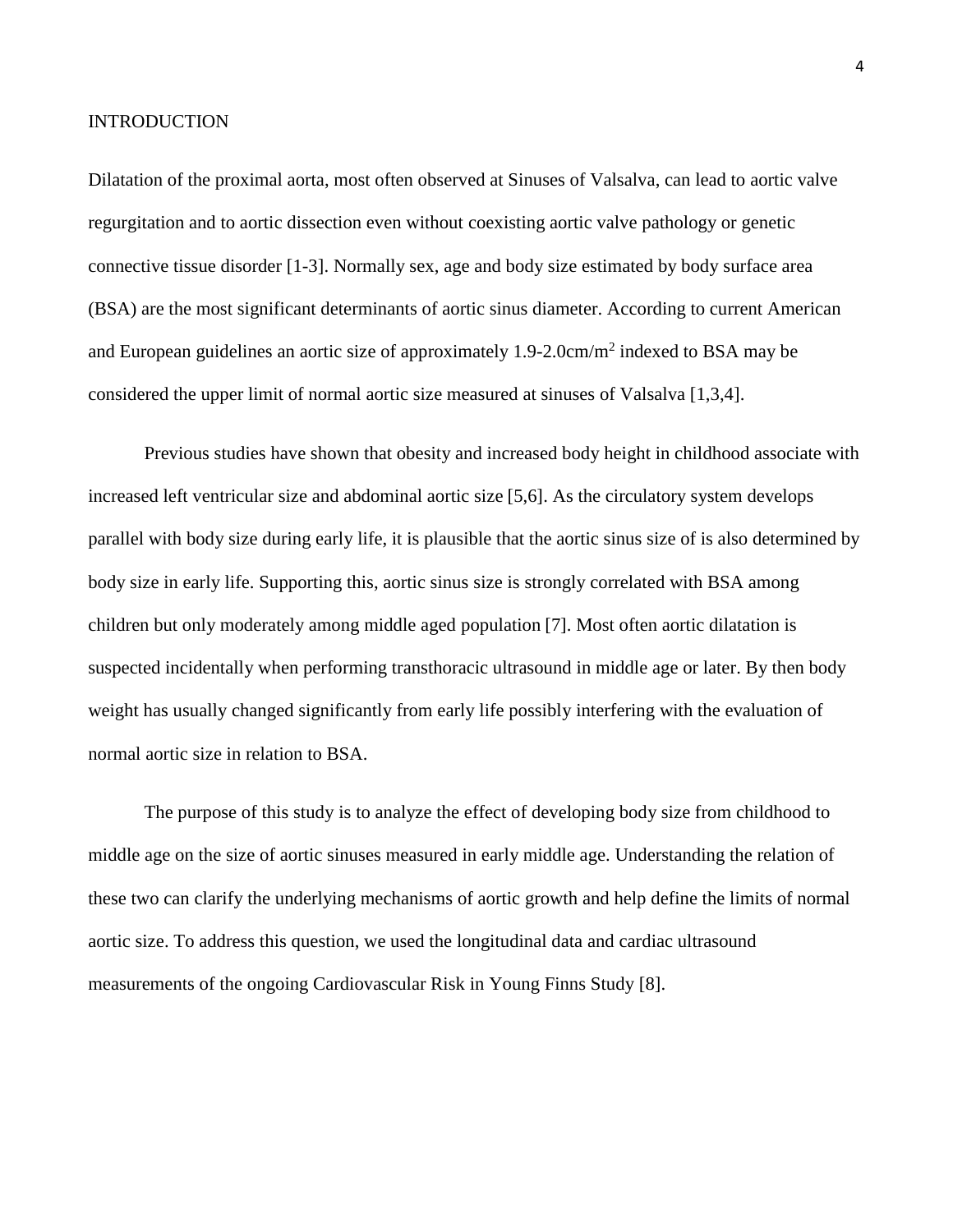#### **INTRODUCTION**

Dilatation of the proximal aorta, most often observed at Sinuses of Valsalva, can lead to aortic valve regurgitation and to aortic dissection even without coexisting aortic valve pathology or genetic connective tissue disorder [1-3]. Normally sex, age and body size estimated by body surface area (BSA) are the most significant determinants of aortic sinus diameter. According to current American and European guidelines an aortic size of approximately 1.9-2.0cm/m<sup>2</sup> indexed to BSA may be considered the upper limit of normal aortic size measured at sinuses of Valsalva [1,3,4].

Previous studies have shown that obesity and increased body height in childhood associate with increased left ventricular size and abdominal aortic size [5,6]. As the circulatory system develops parallel with body size during early life, it is plausible that the aortic sinus size of is also determined by body size in early life. Supporting this, aortic sinus size is strongly correlated with BSA among children but only moderately among middle aged population [7]. Most often aortic dilatation is suspected incidentally when performing transthoracic ultrasound in middle age or later. By then body weight has usually changed significantly from early life possibly interfering with the evaluation of normal aortic size in relation to BSA.

The purpose of this study is to analyze the effect of developing body size from childhood to middle age on the size of aortic sinuses measured in early middle age. Understanding the relation of these two can clarify the underlying mechanisms of aortic growth and help define the limits of normal aortic size. To address this question, we used the longitudinal data and cardiac ultrasound measurements of the ongoing Cardiovascular Risk in Young Finns Study [8].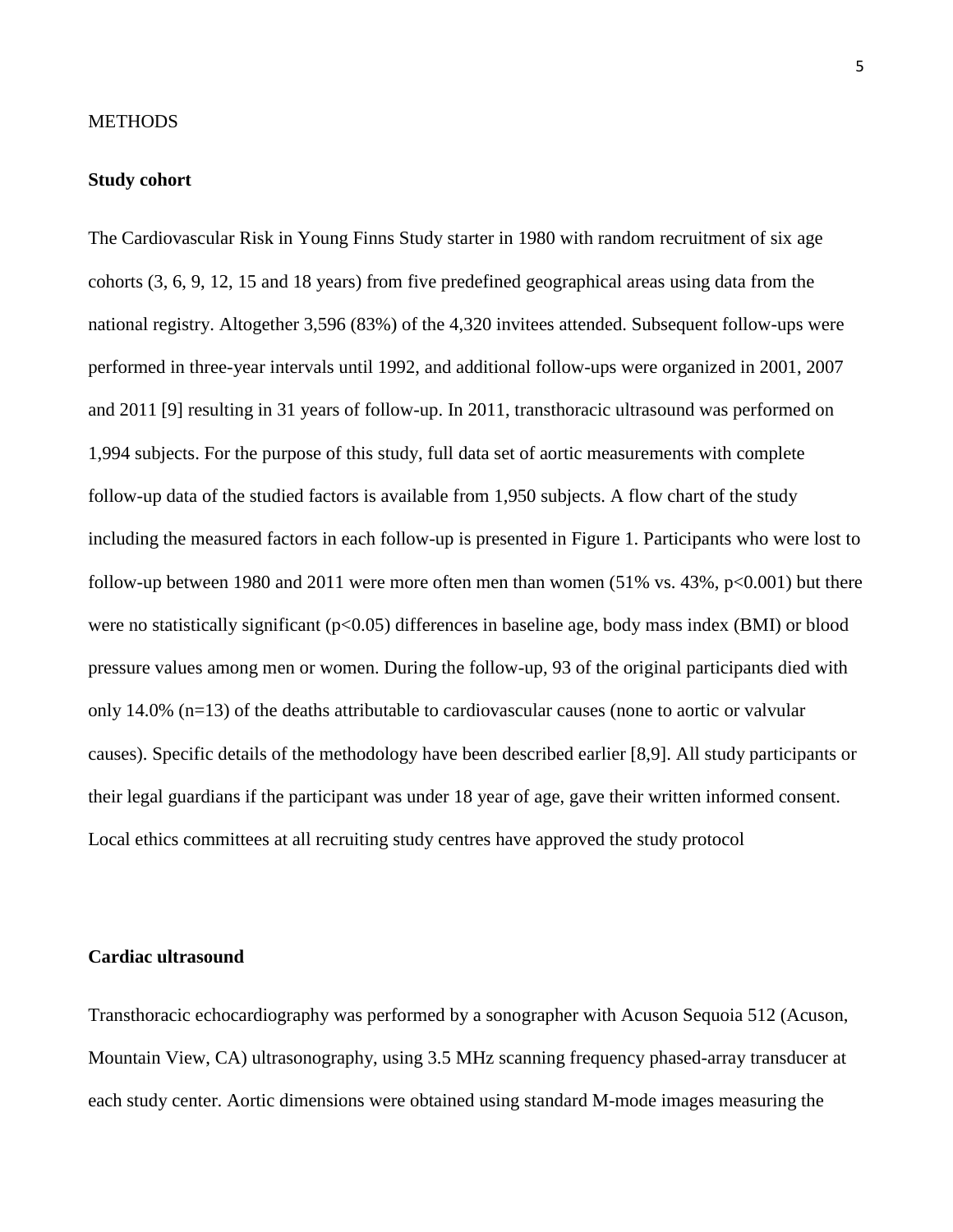#### **METHODS**

## **Study cohort**

The Cardiovascular Risk in Young Finns Study starter in 1980 with random recruitment of six age cohorts (3, 6, 9, 12, 15 and 18 years) from five predefined geographical areas using data from the national registry. Altogether 3,596 (83%) of the 4,320 invitees attended. Subsequent follow-ups were performed in three-year intervals until 1992, and additional follow-ups were organized in 2001, 2007 and 2011 [9] resulting in 31 years of follow-up. In 2011, transthoracic ultrasound was performed on 1,994 subjects. For the purpose of this study, full data set of aortic measurements with complete follow-up data of the studied factors is available from 1,950 subjects. A flow chart of the study including the measured factors in each follow-up is presented in Figure 1. Participants who were lost to follow-up between 1980 and 2011 were more often men than women  $(51\% \text{ vs. } 43\%, \text{ p} < 0.001)$  but there were no statistically significant (p<0.05) differences in baseline age, body mass index (BMI) or blood pressure values among men or women. During the follow-up, 93 of the original participants died with only 14.0% (n=13) of the deaths attributable to cardiovascular causes (none to aortic or valvular causes). Specific details of the methodology have been described earlier [8,9]. All study participants or their legal guardians if the participant was under 18 year of age, gave their written informed consent. Local ethics committees at all recruiting study centres have approved the study protocol

## **Cardiac ultrasound**

Transthoracic echocardiography was performed by a sonographer with Acuson Sequoia 512 (Acuson, Mountain View, CA) ultrasonography, using 3.5 MHz scanning frequency phased-array transducer at each study center. Aortic dimensions were obtained using standard M-mode images measuring the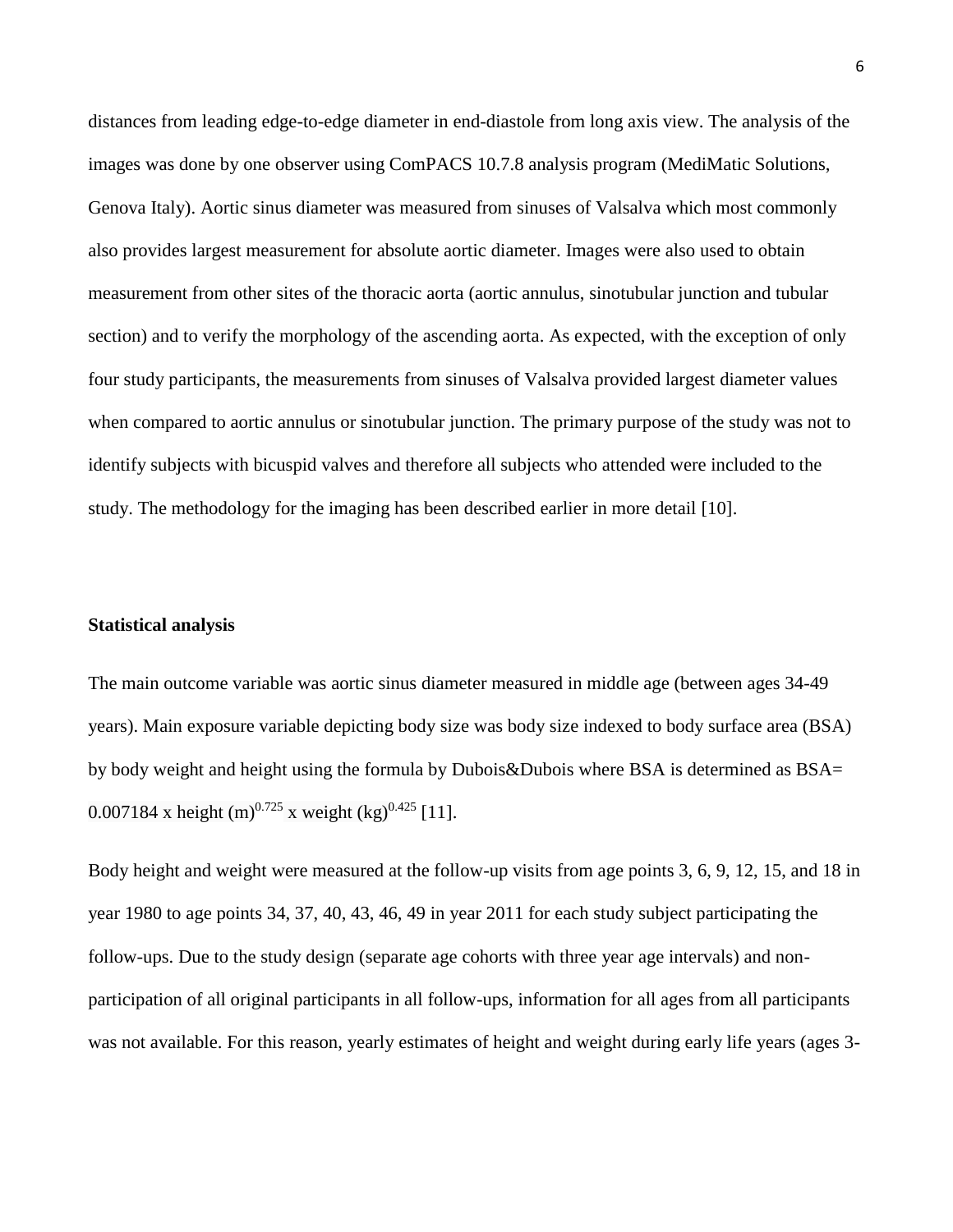distances from leading edge-to-edge diameter in end-diastole from long axis view. The analysis of the images was done by one observer using ComPACS 10.7.8 analysis program (MediMatic Solutions, Genova Italy). Aortic sinus diameter was measured from sinuses of Valsalva which most commonly also provides largest measurement for absolute aortic diameter. Images were also used to obtain measurement from other sites of the thoracic aorta (aortic annulus, sinotubular junction and tubular section) and to verify the morphology of the ascending aorta. As expected, with the exception of only four study participants, the measurements from sinuses of Valsalva provided largest diameter values when compared to aortic annulus or sinotubular junction. The primary purpose of the study was not to identify subjects with bicuspid valves and therefore all subjects who attended were included to the study. The methodology for the imaging has been described earlier in more detail [10].

## **Statistical analysis**

The main outcome variable was aortic sinus diameter measured in middle age (between ages 34-49 years). Main exposure variable depicting body size was body size indexed to body surface area (BSA) by body weight and height using the formula by Dubois&Dubois where BSA is determined as BSA= 0.007184 x height (m)<sup>0.725</sup> x weight (kg)<sup>0.425</sup> [11].

Body height and weight were measured at the follow-up visits from age points 3, 6, 9, 12, 15, and 18 in year 1980 to age points 34, 37, 40, 43, 46, 49 in year 2011 for each study subject participating the follow-ups. Due to the study design (separate age cohorts with three year age intervals) and nonparticipation of all original participants in all follow-ups, information for all ages from all participants was not available. For this reason, yearly estimates of height and weight during early life years (ages 3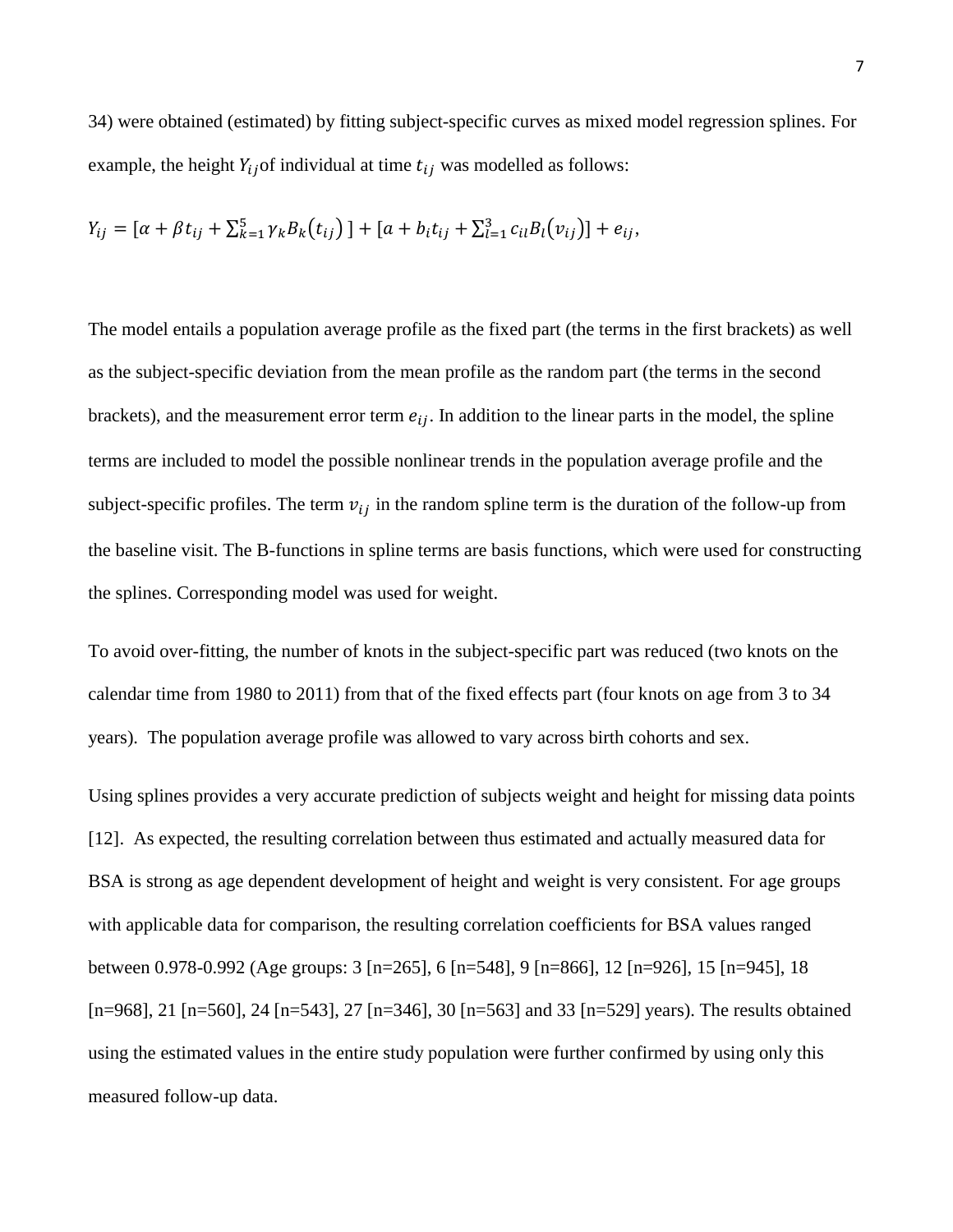34) were obtained (estimated) by fitting subject-specific curves as mixed model regression splines. For example, the height  $Y_{ij}$  of individual at time  $t_{ij}$  was modelled as follows:

$$
Y_{ij} = [\alpha + \beta t_{ij} + \sum_{k=1}^{5} \gamma_k B_k(t_{ij})] + [\alpha + b_i t_{ij} + \sum_{l=1}^{3} c_{il} B_l(v_{ij})] + e_{ij},
$$

The model entails a population average profile as the fixed part (the terms in the first brackets) as well as the subject-specific deviation from the mean profile as the random part (the terms in the second brackets), and the measurement error term  $e_{ij}$ . In addition to the linear parts in the model, the spline terms are included to model the possible nonlinear trends in the population average profile and the subject-specific profiles. The term  $v_{ij}$  in the random spline term is the duration of the follow-up from the baseline visit. The B-functions in spline terms are basis functions, which were used for constructing the splines. Corresponding model was used for weight.

To avoid over-fitting, the number of knots in the subject-specific part was reduced (two knots on the calendar time from 1980 to 2011) from that of the fixed effects part (four knots on age from 3 to 34 years). The population average profile was allowed to vary across birth cohorts and sex.

Using splines provides a very accurate prediction of subjects weight and height for missing data points [12]. As expected, the resulting correlation between thus estimated and actually measured data for BSA is strong as age dependent development of height and weight is very consistent. For age groups with applicable data for comparison, the resulting correlation coefficients for BSA values ranged between 0.978-0.992 (Age groups: 3 [n=265], 6 [n=548], 9 [n=866], 12 [n=926], 15 [n=945], 18 [n=968], 21 [n=560], 24 [n=543], 27 [n=346], 30 [n=563] and 33 [n=529] years). The results obtained using the estimated values in the entire study population were further confirmed by using only this measured follow-up data.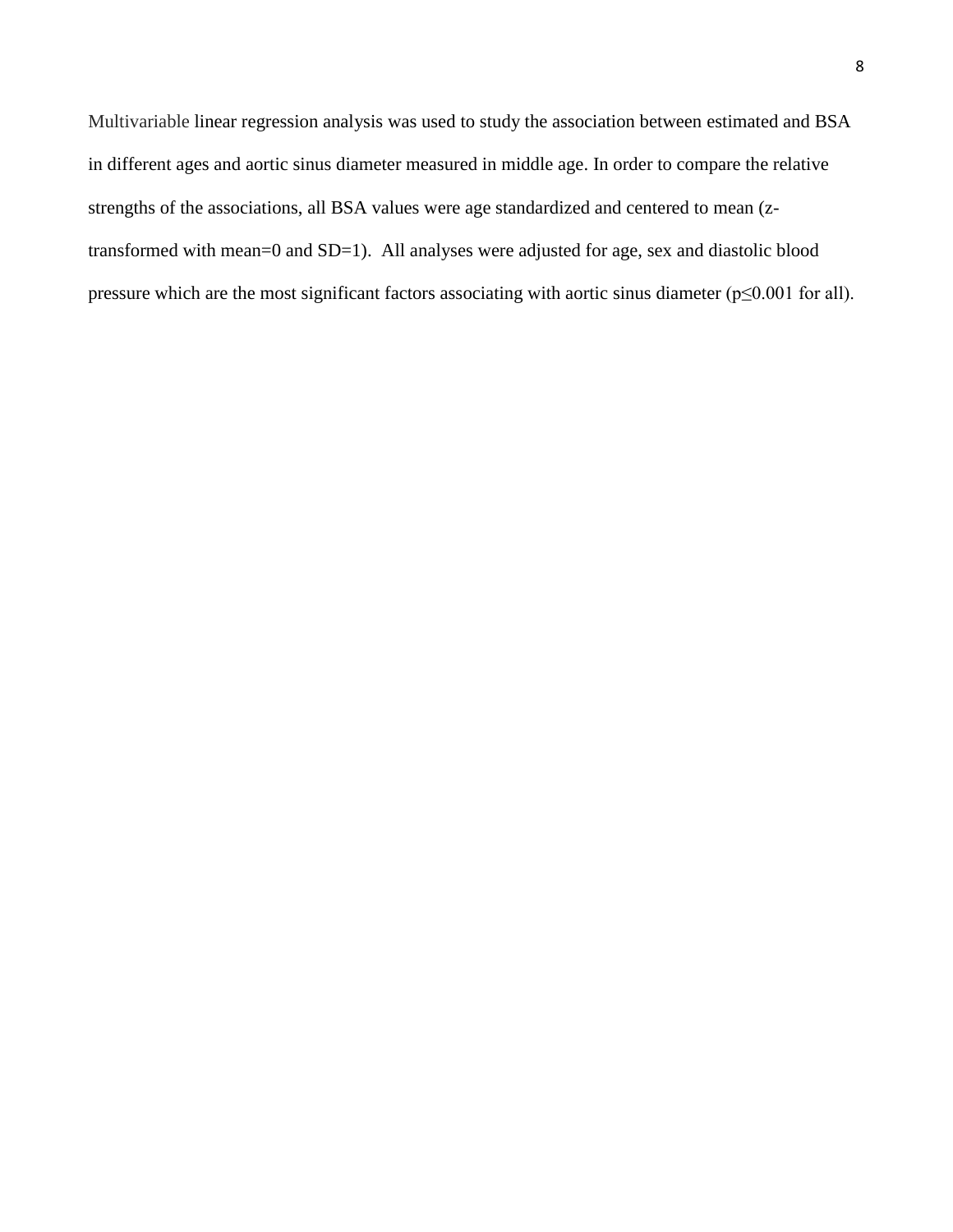Multivariable linear regression analysis was used to study the association between estimated and BSA in different ages and aortic sinus diameter measured in middle age. In order to compare the relative strengths of the associations, all BSA values were age standardized and centered to mean (ztransformed with mean=0 and SD=1). All analyses were adjusted for age, sex and diastolic blood pressure which are the most significant factors associating with aortic sinus diameter (p≤0.001 for all).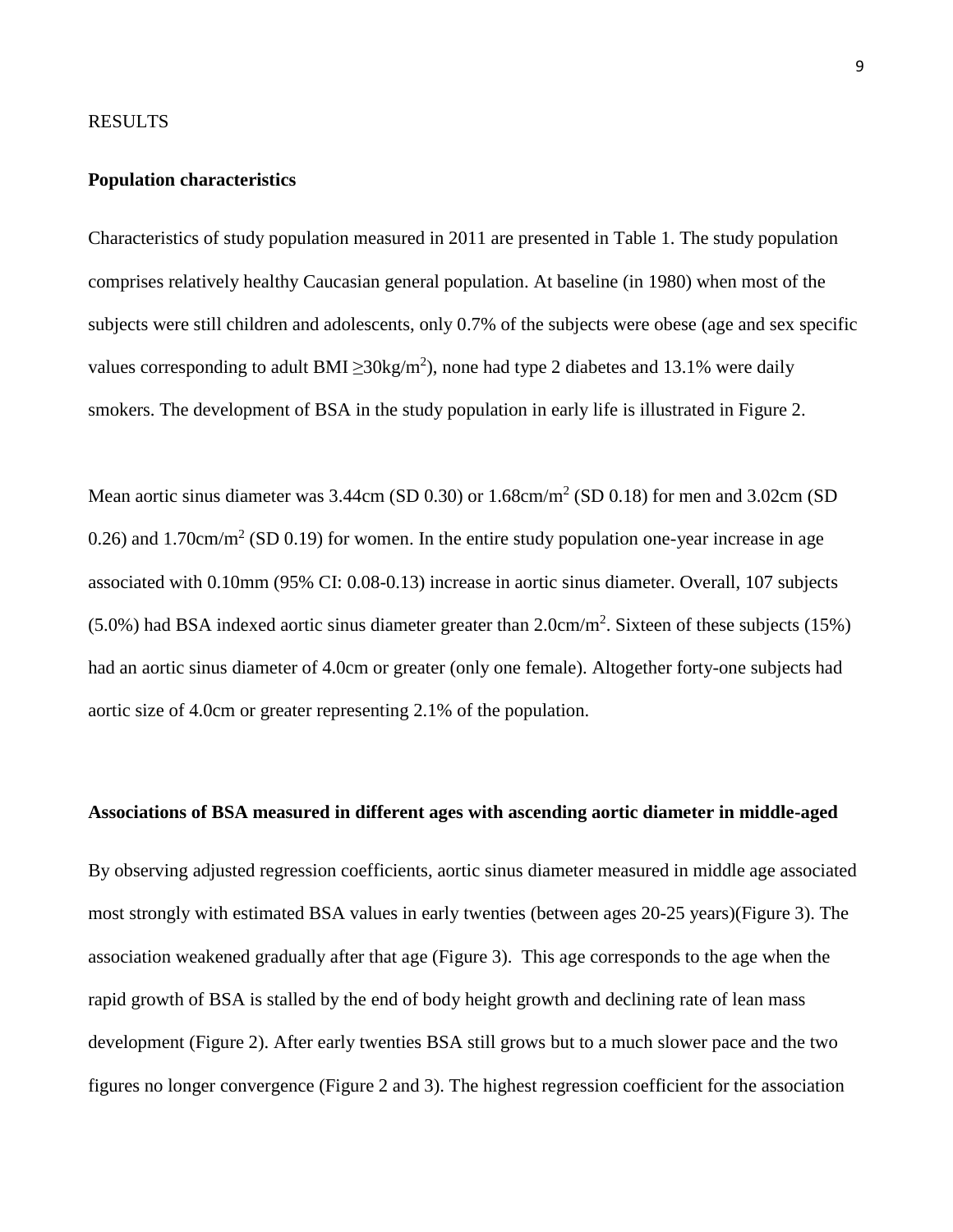### RESULTS

## **Population characteristics**

Characteristics of study population measured in 2011 are presented in Table 1. The study population comprises relatively healthy Caucasian general population. At baseline (in 1980) when most of the subjects were still children and adolescents, only 0.7% of the subjects were obese (age and sex specific values corresponding to adult BMI  $\geq 30 \text{kg/m}^2$ ), none had type 2 diabetes and 13.1% were daily smokers. The development of BSA in the study population in early life is illustrated in Figure 2.

Mean aortic sinus diameter was  $3.44cm$  (SD 0.30) or  $1.68cm/m<sup>2</sup>$  (SD 0.18) for men and  $3.02cm$  (SD 0.26) and 1.70cm/m<sup>2</sup> (SD 0.19) for women. In the entire study population one-year increase in age associated with 0.10mm (95% CI: 0.08-0.13) increase in aortic sinus diameter. Overall, 107 subjects  $(5.0\%)$  had BSA indexed aortic sinus diameter greater than 2.0cm/m<sup>2</sup>. Sixteen of these subjects (15%) had an aortic sinus diameter of 4.0cm or greater (only one female). Altogether forty-one subjects had aortic size of 4.0cm or greater representing 2.1% of the population.

## **Associations of BSA measured in different ages with ascending aortic diameter in middle-aged**

By observing adjusted regression coefficients, aortic sinus diameter measured in middle age associated most strongly with estimated BSA values in early twenties (between ages 20-25 years)(Figure 3). The association weakened gradually after that age (Figure 3). This age corresponds to the age when the rapid growth of BSA is stalled by the end of body height growth and declining rate of lean mass development (Figure 2). After early twenties BSA still grows but to a much slower pace and the two figures no longer convergence (Figure 2 and 3). The highest regression coefficient for the association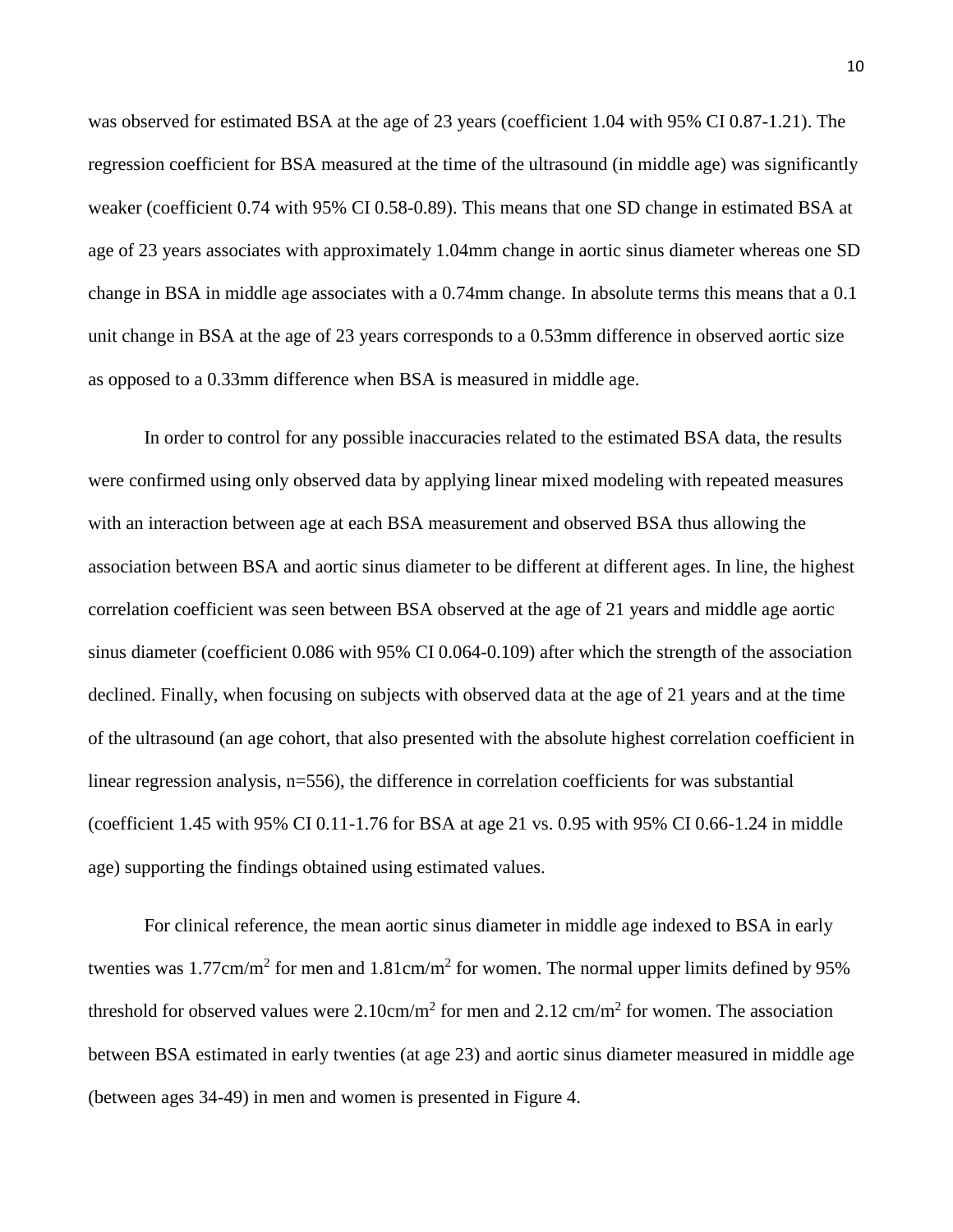was observed for estimated BSA at the age of 23 years (coefficient 1.04 with 95% CI 0.87-1.21). The regression coefficient for BSA measured at the time of the ultrasound (in middle age) was significantly weaker (coefficient 0.74 with 95% CI 0.58-0.89). This means that one SD change in estimated BSA at age of 23 years associates with approximately 1.04mm change in aortic sinus diameter whereas one SD change in BSA in middle age associates with a 0.74mm change. In absolute terms this means that a 0.1 unit change in BSA at the age of 23 years corresponds to a 0.53mm difference in observed aortic size as opposed to a 0.33mm difference when BSA is measured in middle age.

In order to control for any possible inaccuracies related to the estimated BSA data, the results were confirmed using only observed data by applying linear mixed modeling with repeated measures with an interaction between age at each BSA measurement and observed BSA thus allowing the association between BSA and aortic sinus diameter to be different at different ages. In line, the highest correlation coefficient was seen between BSA observed at the age of 21 years and middle age aortic sinus diameter (coefficient 0.086 with 95% CI 0.064-0.109) after which the strength of the association declined. Finally, when focusing on subjects with observed data at the age of 21 years and at the time of the ultrasound (an age cohort, that also presented with the absolute highest correlation coefficient in linear regression analysis, n=556), the difference in correlation coefficients for was substantial (coefficient 1.45 with 95% CI 0.11-1.76 for BSA at age 21 vs. 0.95 with 95% CI 0.66-1.24 in middle age) supporting the findings obtained using estimated values.

For clinical reference, the mean aortic sinus diameter in middle age indexed to BSA in early twenties was  $1.77 \text{cm/m}^2$  for men and  $1.81 \text{cm/m}^2$  for women. The normal upper limits defined by 95% threshold for observed values were  $2.10 \text{cm/m}^2$  for men and  $2.12 \text{cm/m}^2$  for women. The association between BSA estimated in early twenties (at age 23) and aortic sinus diameter measured in middle age (between ages 34-49) in men and women is presented in Figure 4.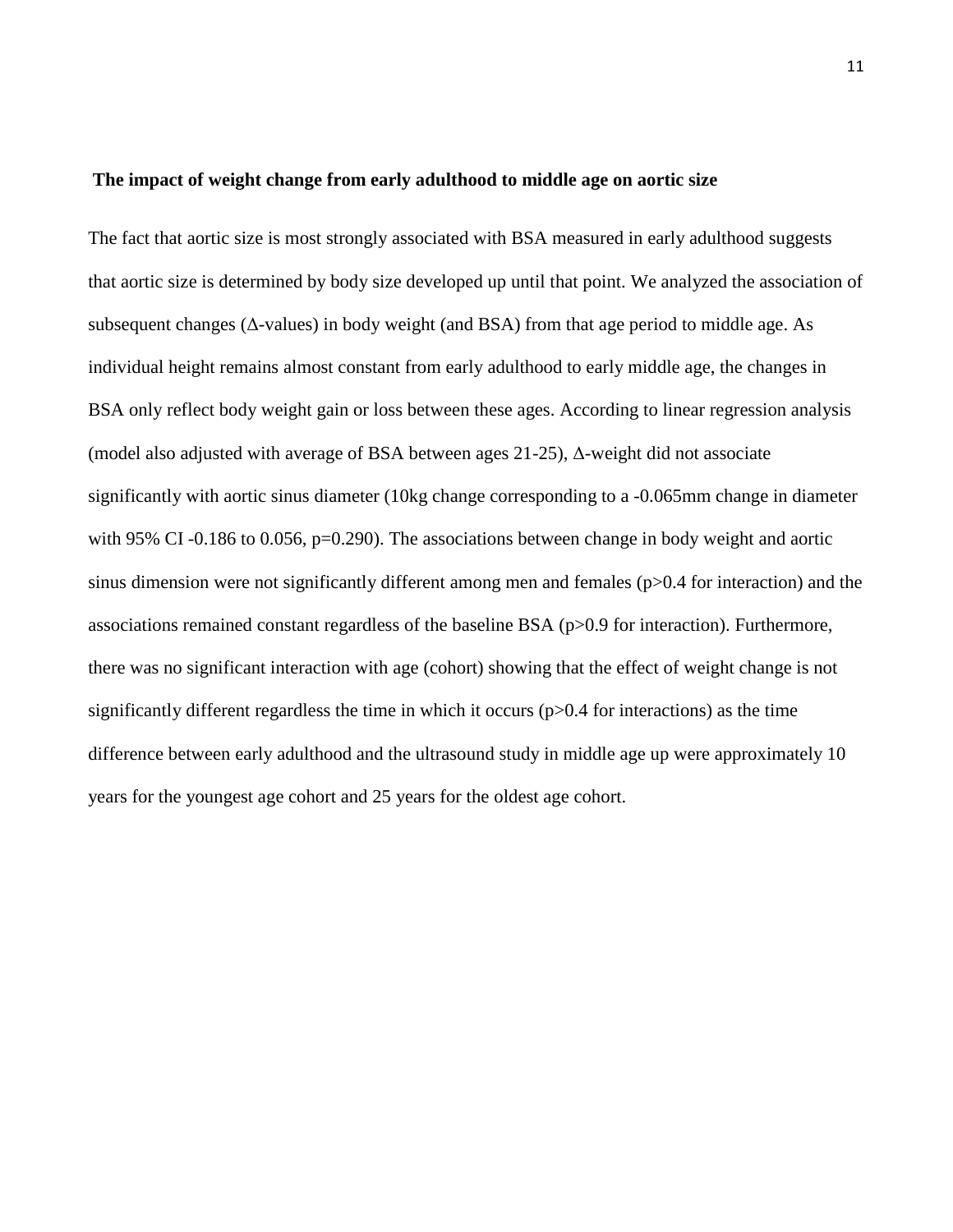#### **The impact of weight change from early adulthood to middle age on aortic size**

The fact that aortic size is most strongly associated with BSA measured in early adulthood suggests that aortic size is determined by body size developed up until that point. We analyzed the association of subsequent changes ( $\Delta$ -values) in body weight (and BSA) from that age period to middle age. As individual height remains almost constant from early adulthood to early middle age, the changes in BSA only reflect body weight gain or loss between these ages. According to linear regression analysis (model also adjusted with average of BSA between ages 21-25), Δ-weight did not associate significantly with aortic sinus diameter (10kg change corresponding to a -0.065mm change in diameter with 95% CI-0.186 to 0.056, p=0.290). The associations between change in body weight and aortic sinus dimension were not significantly different among men and females (p>0.4 for interaction) and the associations remained constant regardless of the baseline BSA (p>0.9 for interaction). Furthermore, there was no significant interaction with age (cohort) showing that the effect of weight change is not significantly different regardless the time in which it occurs  $(p>0.4$  for interactions) as the time difference between early adulthood and the ultrasound study in middle age up were approximately 10 years for the youngest age cohort and 25 years for the oldest age cohort.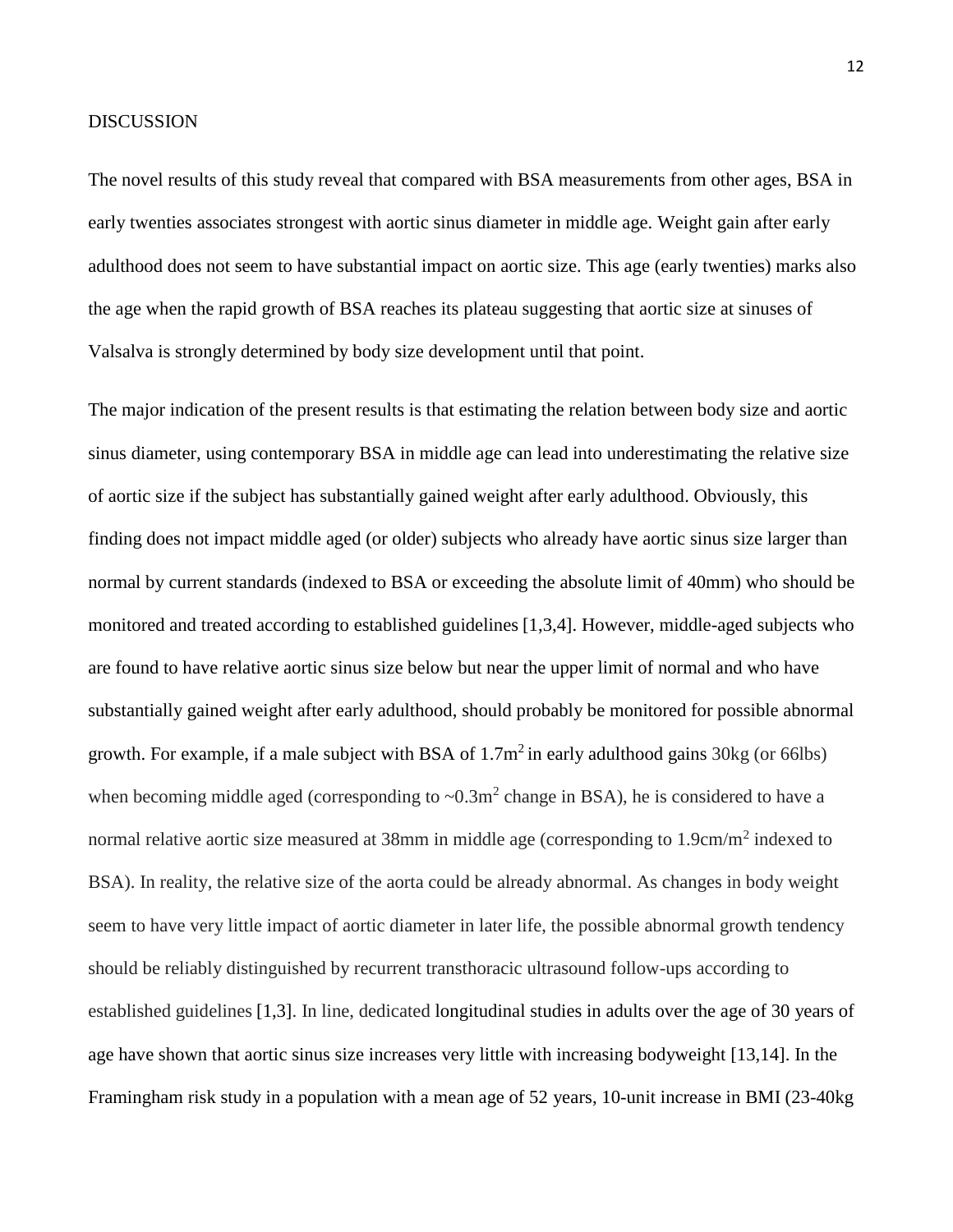### DISCUSSION

The novel results of this study reveal that compared with BSA measurements from other ages, BSA in early twenties associates strongest with aortic sinus diameter in middle age. Weight gain after early adulthood does not seem to have substantial impact on aortic size. This age (early twenties) marks also the age when the rapid growth of BSA reaches its plateau suggesting that aortic size at sinuses of Valsalva is strongly determined by body size development until that point.

The major indication of the present results is that estimating the relation between body size and aortic sinus diameter, using contemporary BSA in middle age can lead into underestimating the relative size of aortic size if the subject has substantially gained weight after early adulthood. Obviously, this finding does not impact middle aged (or older) subjects who already have aortic sinus size larger than normal by current standards (indexed to BSA or exceeding the absolute limit of 40mm) who should be monitored and treated according to established guidelines [1,3,4]. However, middle-aged subjects who are found to have relative aortic sinus size below but near the upper limit of normal and who have substantially gained weight after early adulthood, should probably be monitored for possible abnormal growth. For example, if a male subject with BSA of  $1.7m^2$  in early adulthood gains 30kg (or 66lbs) when becoming middle aged (corresponding to  $\sim 0.3 \text{m}^2$  change in BSA), he is considered to have a normal relative aortic size measured at 38mm in middle age (corresponding to 1.9cm/m<sup>2</sup> indexed to BSA). In reality, the relative size of the aorta could be already abnormal. As changes in body weight seem to have very little impact of aortic diameter in later life, the possible abnormal growth tendency should be reliably distinguished by recurrent transthoracic ultrasound follow-ups according to established guidelines [1,3]. In line, dedicated longitudinal studies in adults over the age of 30 years of age have shown that aortic sinus size increases very little with increasing bodyweight [13,14]. In the Framingham risk study in a population with a mean age of 52 years, 10-unit increase in BMI (23-40kg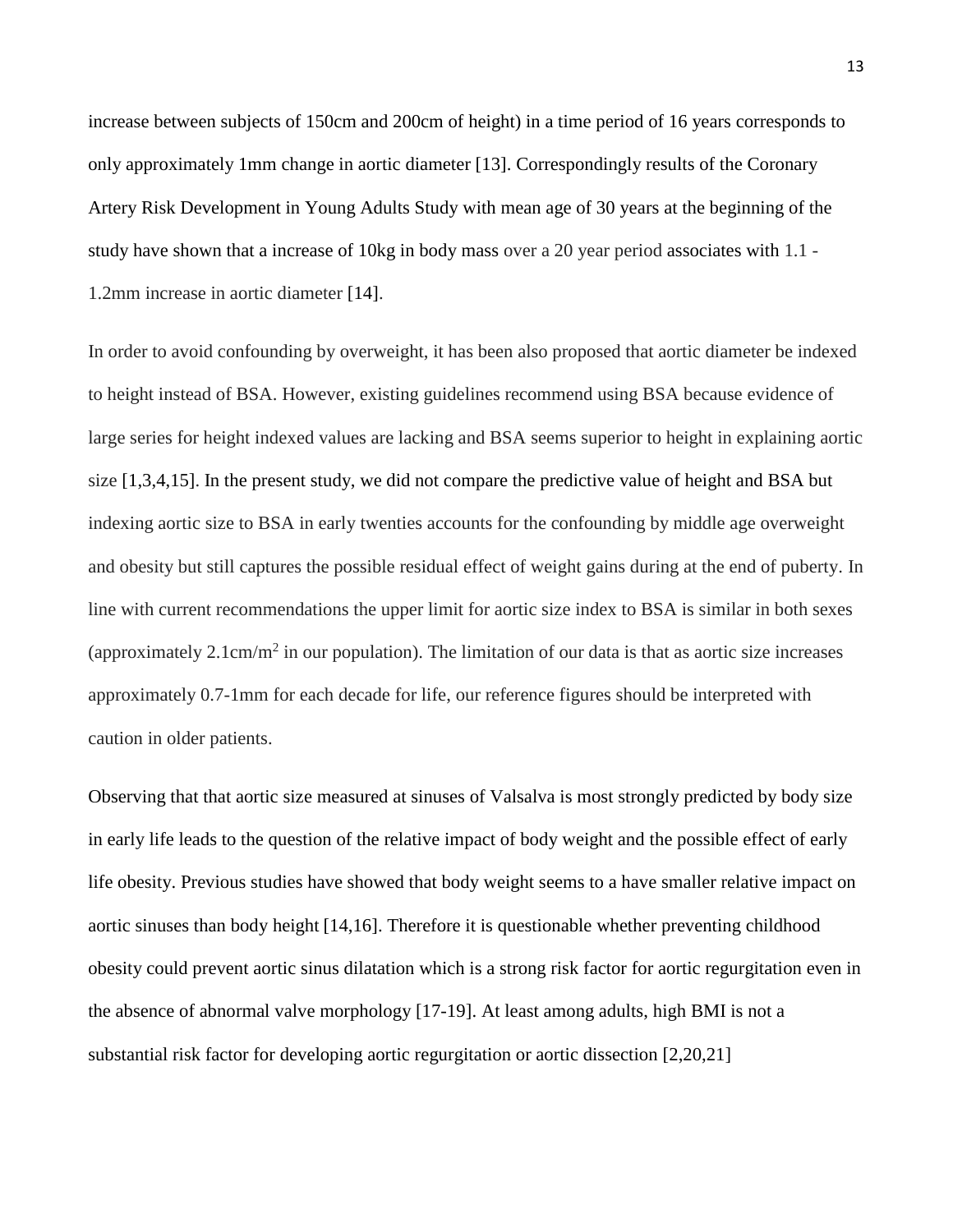increase between subjects of 150cm and 200cm of height) in a time period of 16 years corresponds to only approximately 1mm change in aortic diameter [13]. Correspondingly results of the Coronary Artery Risk Development in Young Adults Study with mean age of 30 years at the beginning of the study have shown that a increase of 10kg in body mass over a 20 year period associates with 1.1 - 1.2mm increase in aortic diameter [14].

In order to avoid confounding by overweight, it has been also proposed that aortic diameter be indexed to height instead of BSA. However, existing guidelines recommend using BSA because evidence of large series for height indexed values are lacking and BSA seems superior to height in explaining aortic size [1,3,4,15]. In the present study, we did not compare the predictive value of height and BSA but indexing aortic size to BSA in early twenties accounts for the confounding by middle age overweight and obesity but still captures the possible residual effect of weight gains during at the end of puberty. In line with current recommendations the upper limit for aortic size index to BSA is similar in both sexes (approximately  $2.1 \text{cm/m}^2$  in our population). The limitation of our data is that as aortic size increases approximately 0.7-1mm for each decade for life, our reference figures should be interpreted with caution in older patients.

Observing that that aortic size measured at sinuses of Valsalva is most strongly predicted by body size in early life leads to the question of the relative impact of body weight and the possible effect of early life obesity. Previous studies have showed that body weight seems to a have smaller relative impact on aortic sinuses than body height [14,16]. Therefore it is questionable whether preventing childhood obesity could prevent aortic sinus dilatation which is a strong risk factor for aortic regurgitation even in the absence of abnormal valve morphology [17-19]. At least among adults, high BMI is not a substantial risk factor for developing aortic regurgitation or aortic dissection [2,20,21]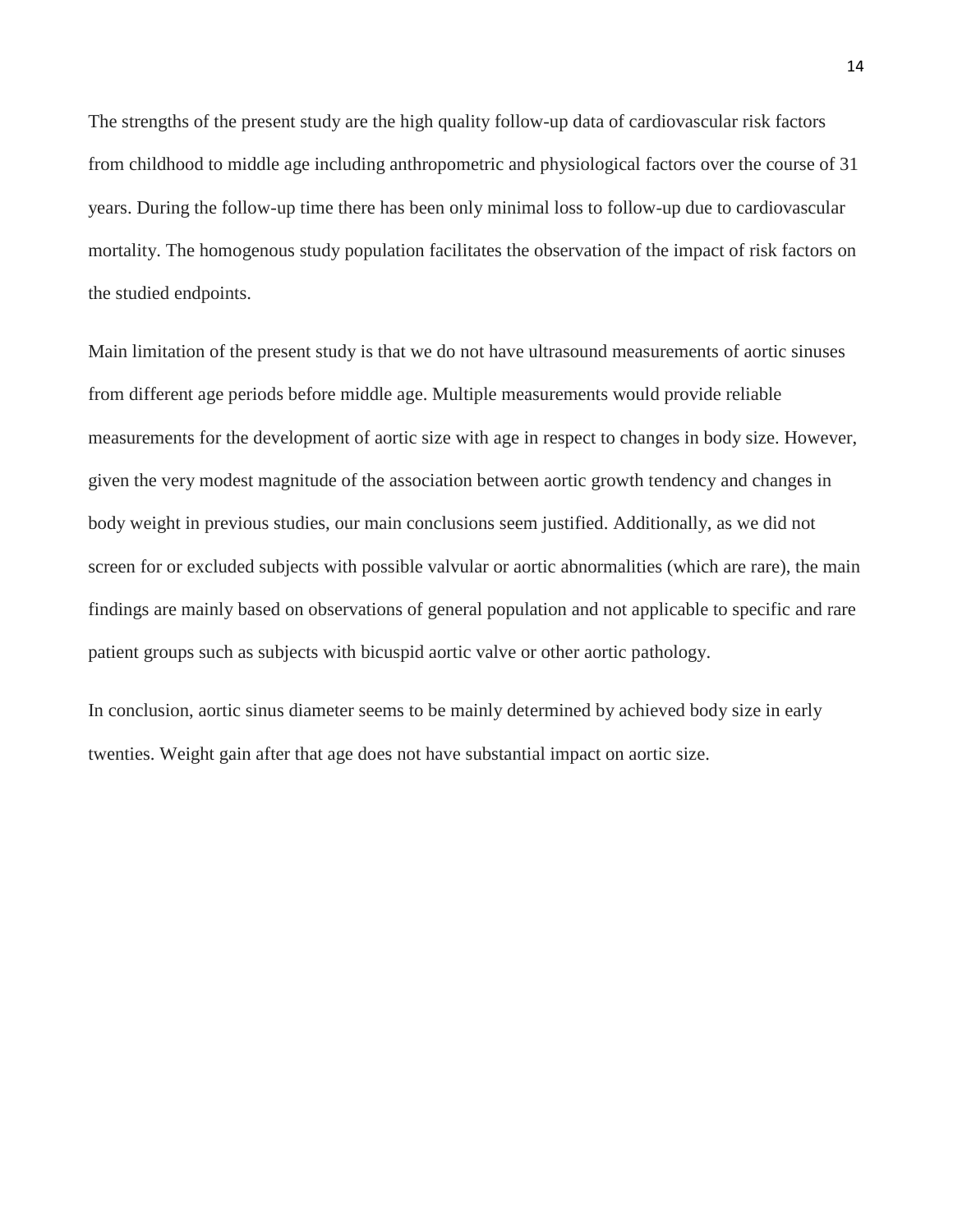The strengths of the present study are the high quality follow-up data of cardiovascular risk factors from childhood to middle age including anthropometric and physiological factors over the course of 31 years. During the follow-up time there has been only minimal loss to follow-up due to cardiovascular mortality. The homogenous study population facilitates the observation of the impact of risk factors on the studied endpoints.

Main limitation of the present study is that we do not have ultrasound measurements of aortic sinuses from different age periods before middle age. Multiple measurements would provide reliable measurements for the development of aortic size with age in respect to changes in body size. However, given the very modest magnitude of the association between aortic growth tendency and changes in body weight in previous studies, our main conclusions seem justified. Additionally, as we did not screen for or excluded subjects with possible valvular or aortic abnormalities (which are rare), the main findings are mainly based on observations of general population and not applicable to specific and rare patient groups such as subjects with bicuspid aortic valve or other aortic pathology.

In conclusion, aortic sinus diameter seems to be mainly determined by achieved body size in early twenties. Weight gain after that age does not have substantial impact on aortic size.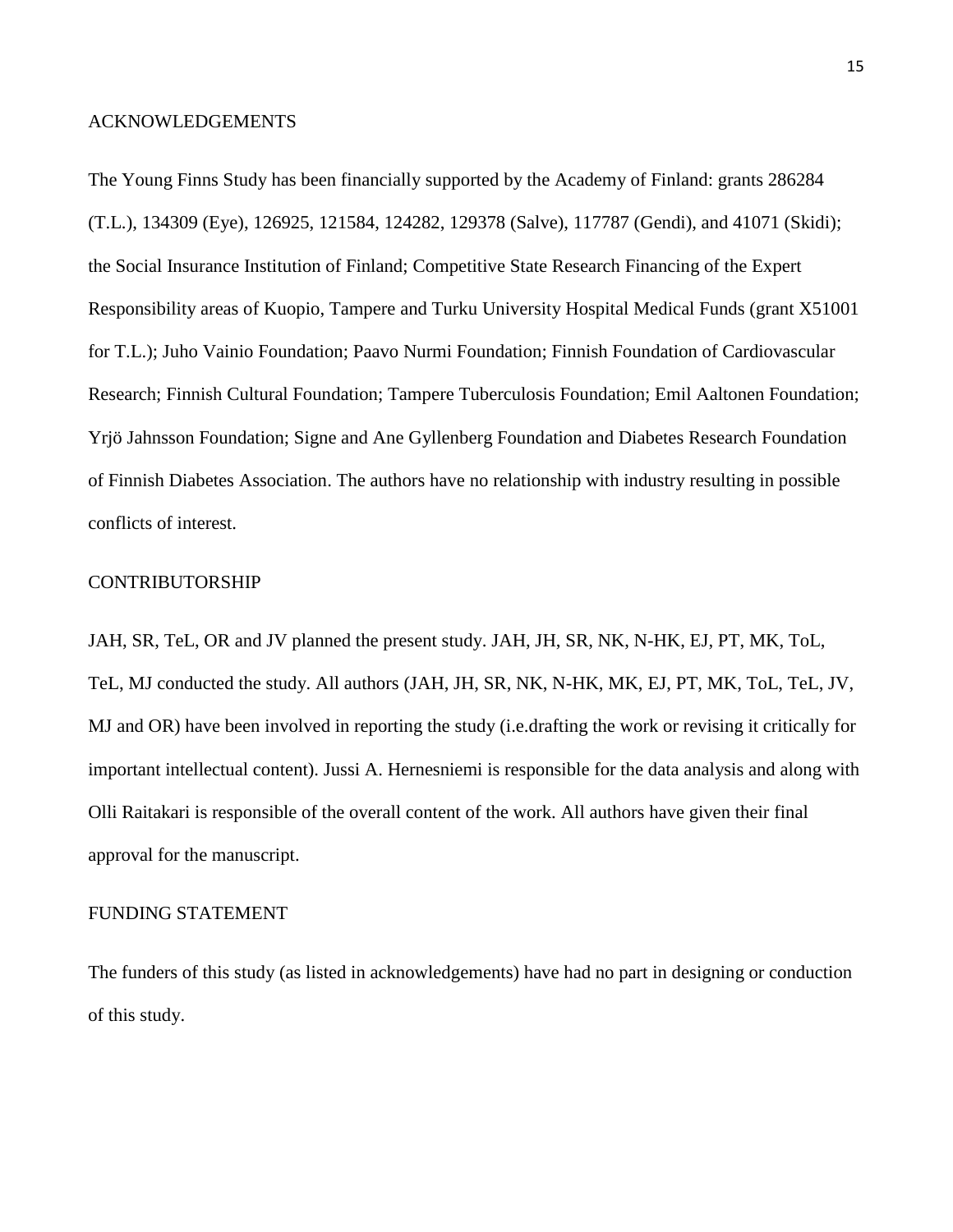### ACKNOWLEDGEMENTS

The Young Finns Study has been financially supported by the Academy of Finland: grants 286284 (T.L.), 134309 (Eye), 126925, 121584, 124282, 129378 (Salve), 117787 (Gendi), and 41071 (Skidi); the Social Insurance Institution of Finland; Competitive State Research Financing of the Expert Responsibility areas of Kuopio, Tampere and Turku University Hospital Medical Funds (grant X51001 for T.L.); Juho Vainio Foundation; Paavo Nurmi Foundation; Finnish Foundation of Cardiovascular Research; Finnish Cultural Foundation; Tampere Tuberculosis Foundation; Emil Aaltonen Foundation; Yrjö Jahnsson Foundation; Signe and Ane Gyllenberg Foundation and Diabetes Research Foundation of Finnish Diabetes Association. The authors have no relationship with industry resulting in possible conflicts of interest.

# CONTRIBUTORSHIP

JAH, SR, TeL, OR and JV planned the present study. JAH, JH, SR, NK, N-HK, EJ, PT, MK, ToL, TeL, MJ conducted the study. All authors (JAH, JH, SR, NK, N-HK, MK, EJ, PT, MK, ToL, TeL, JV, MJ and OR) have been involved in reporting the study (i.e.drafting the work or revising it critically for important intellectual content). Jussi A. Hernesniemi is responsible for the data analysis and along with Olli Raitakari is responsible of the overall content of the work. All authors have given their final approval for the manuscript.

## FUNDING STATEMENT

The funders of this study (as listed in acknowledgements) have had no part in designing or conduction of this study.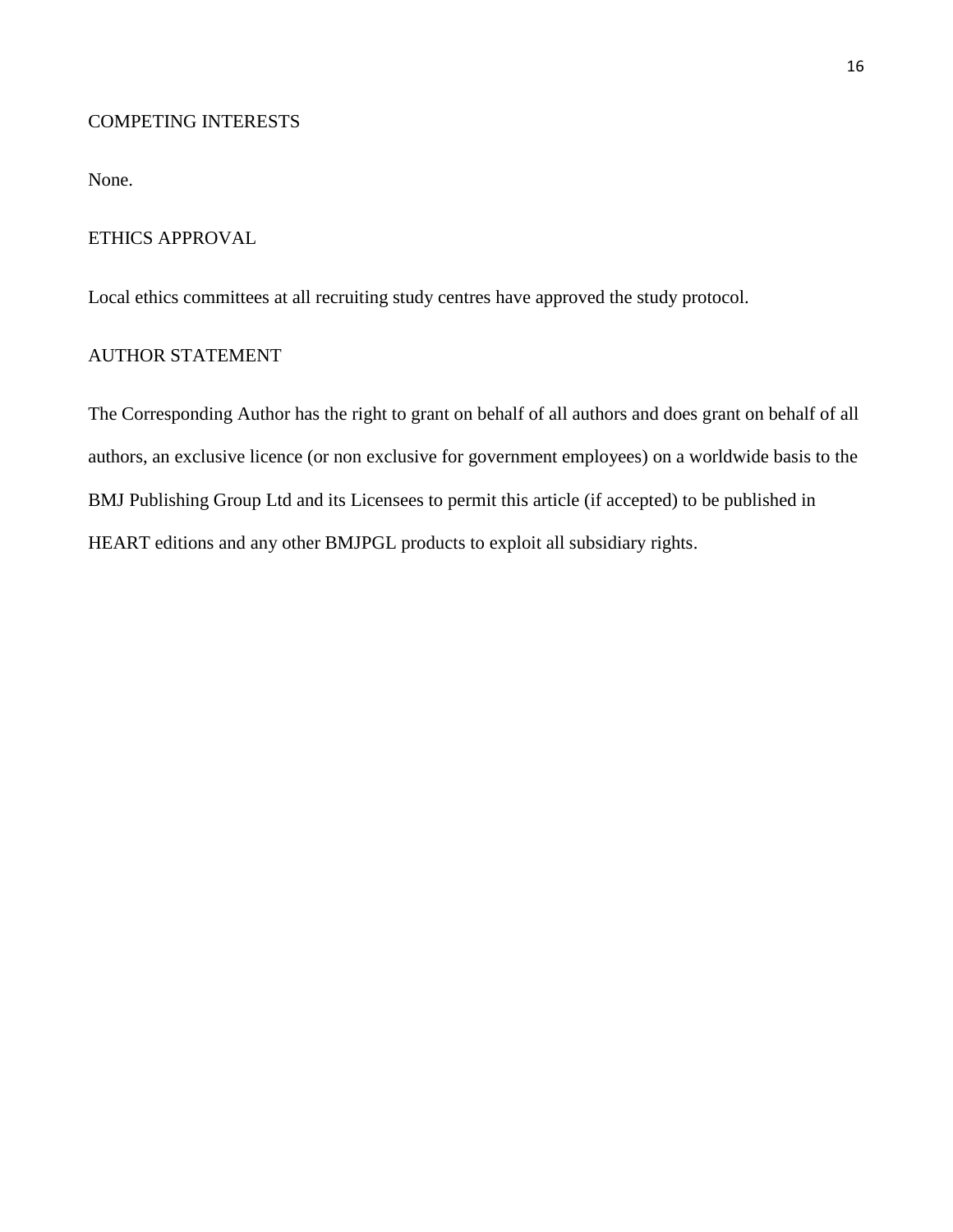# COMPETING INTERESTS

None.

## ETHICS APPROVAL

Local ethics committees at all recruiting study centres have approved the study protocol.

# AUTHOR STATEMENT

The Corresponding Author has the right to grant on behalf of all authors and does grant on behalf of all authors, an exclusive licence (or non exclusive for government employees) on a worldwide basis to the BMJ Publishing Group Ltd and its Licensees to permit this article (if accepted) to be published in HEART editions and any other BMJPGL products to exploit all subsidiary rights.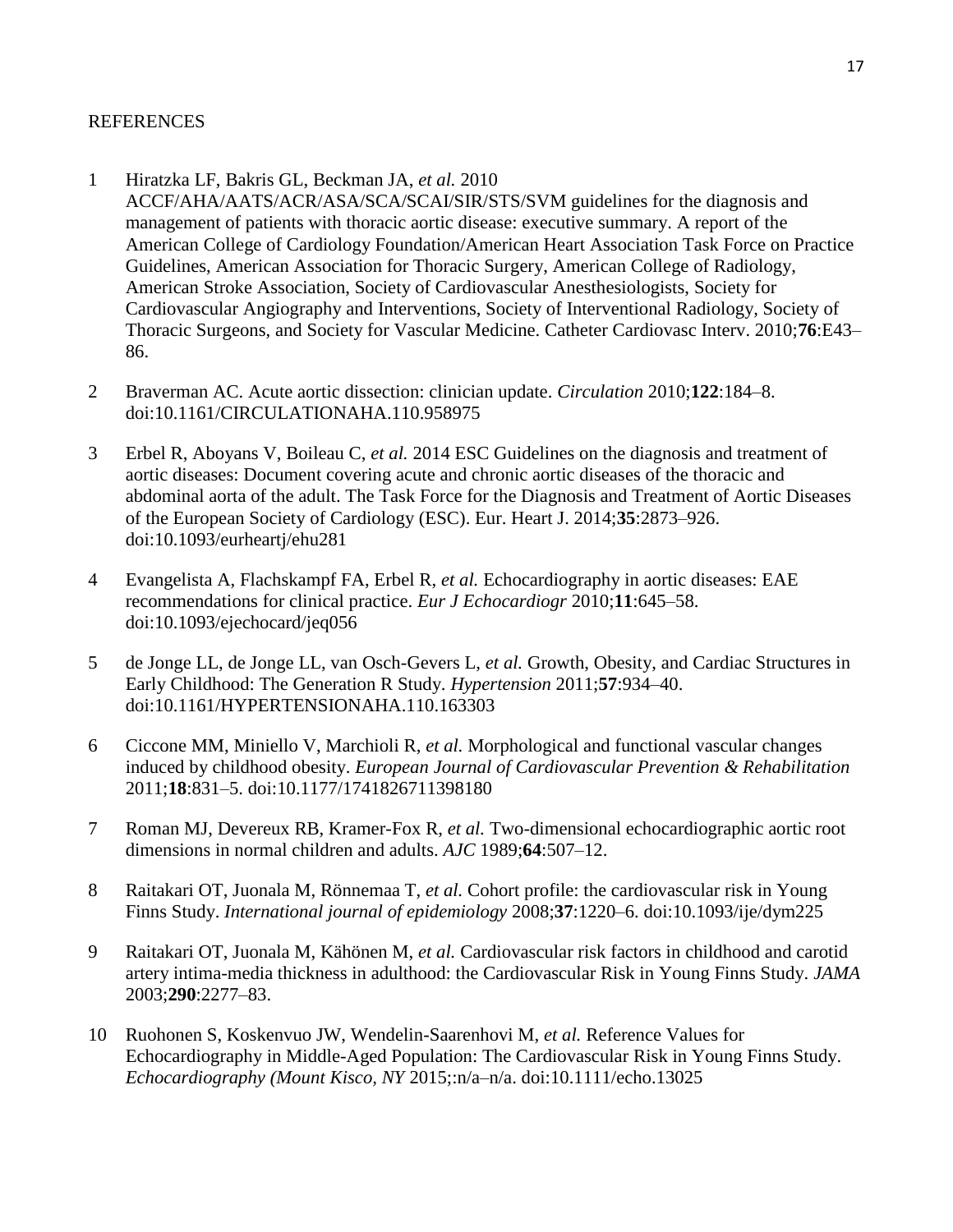# REFERENCES

- 1 Hiratzka LF, Bakris GL, Beckman JA, *et al.* 2010 ACCF/AHA/AATS/ACR/ASA/SCA/SCAI/SIR/STS/SVM guidelines for the diagnosis and management of patients with thoracic aortic disease: executive summary. A report of the American College of Cardiology Foundation/American Heart Association Task Force on Practice Guidelines, American Association for Thoracic Surgery, American College of Radiology, American Stroke Association, Society of Cardiovascular Anesthesiologists, Society for Cardiovascular Angiography and Interventions, Society of Interventional Radiology, Society of Thoracic Surgeons, and Society for Vascular Medicine. Catheter Cardiovasc Interv. 2010;**76**:E43– 86.
- 2 Braverman AC. Acute aortic dissection: clinician update. *Circulation* 2010;**122**:184–8. doi:10.1161/CIRCULATIONAHA.110.958975
- 3 Erbel R, Aboyans V, Boileau C, *et al.* 2014 ESC Guidelines on the diagnosis and treatment of aortic diseases: Document covering acute and chronic aortic diseases of the thoracic and abdominal aorta of the adult. The Task Force for the Diagnosis and Treatment of Aortic Diseases of the European Society of Cardiology (ESC). Eur. Heart J. 2014;**35**:2873–926. doi:10.1093/eurheartj/ehu281
- 4 Evangelista A, Flachskampf FA, Erbel R, *et al.* Echocardiography in aortic diseases: EAE recommendations for clinical practice. *Eur J Echocardiogr* 2010;**11**:645–58. doi:10.1093/ejechocard/jeq056
- 5 de Jonge LL, de Jonge LL, van Osch-Gevers L, *et al.* Growth, Obesity, and Cardiac Structures in Early Childhood: The Generation R Study. *Hypertension* 2011;**57**:934–40. doi:10.1161/HYPERTENSIONAHA.110.163303
- 6 Ciccone MM, Miniello V, Marchioli R, *et al.* Morphological and functional vascular changes induced by childhood obesity. *European Journal of Cardiovascular Prevention & Rehabilitation* 2011;**18**:831–5. doi:10.1177/1741826711398180
- 7 Roman MJ, Devereux RB, Kramer-Fox R, *et al.* Two-dimensional echocardiographic aortic root dimensions in normal children and adults. *AJC* 1989;**64**:507–12.
- 8 Raitakari OT, Juonala M, Rönnemaa T, *et al.* Cohort profile: the cardiovascular risk in Young Finns Study. *International journal of epidemiology* 2008;**37**:1220–6. doi:10.1093/ije/dym225
- 9 Raitakari OT, Juonala M, Kähönen M, *et al.* Cardiovascular risk factors in childhood and carotid artery intima-media thickness in adulthood: the Cardiovascular Risk in Young Finns Study. *JAMA* 2003;**290**:2277–83.
- 10 Ruohonen S, Koskenvuo JW, Wendelin-Saarenhovi M, *et al.* Reference Values for Echocardiography in Middle-Aged Population: The Cardiovascular Risk in Young Finns Study. *Echocardiography (Mount Kisco, NY* 2015;:n/a–n/a. doi:10.1111/echo.13025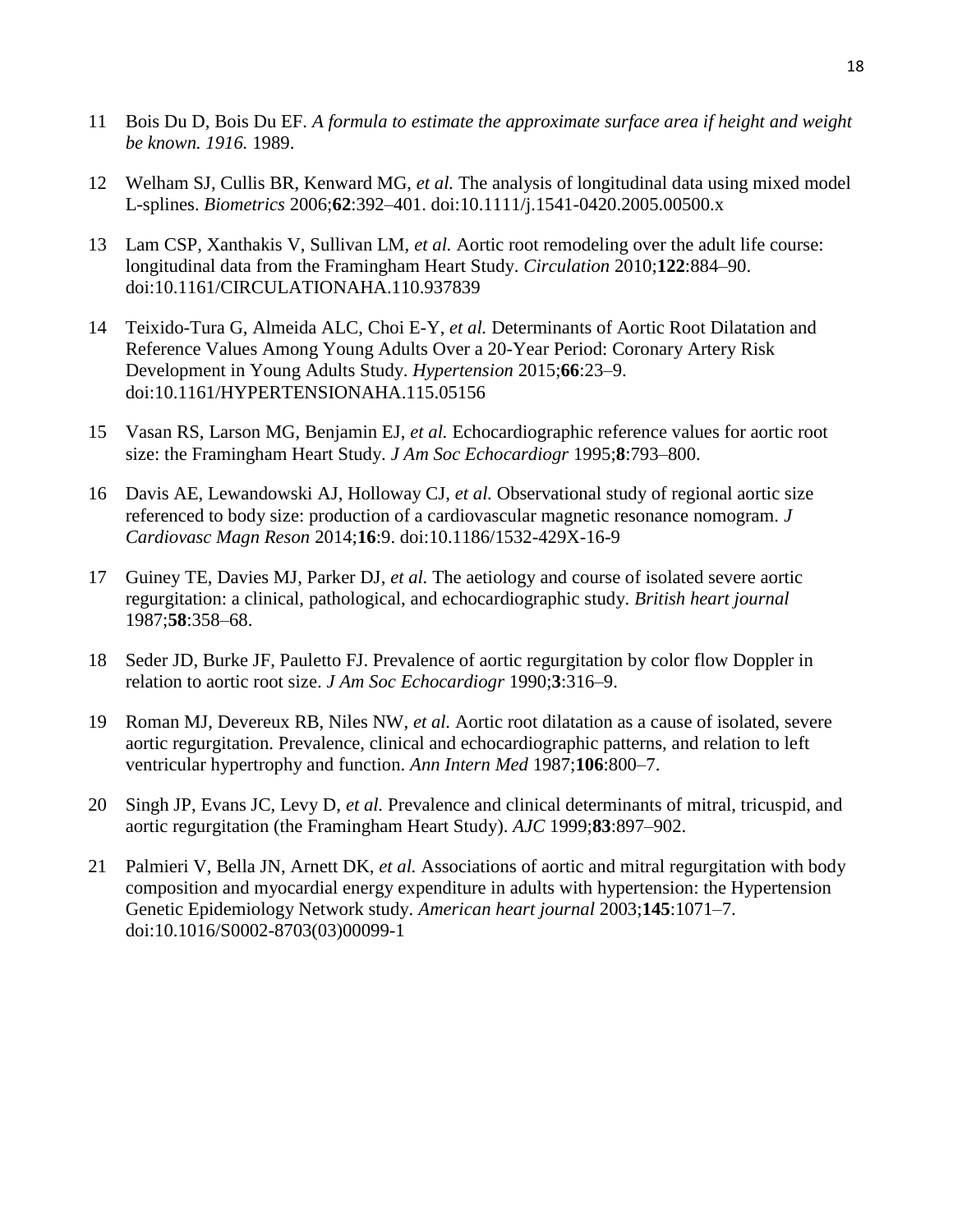- 11 Bois Du D, Bois Du EF. *A formula to estimate the approximate surface area if height and weight be known. 1916.* 1989.
- 12 Welham SJ, Cullis BR, Kenward MG, *et al.* The analysis of longitudinal data using mixed model L-splines. *Biometrics* 2006;**62**:392–401. doi:10.1111/j.1541-0420.2005.00500.x
- 13 Lam CSP, Xanthakis V, Sullivan LM, *et al.* Aortic root remodeling over the adult life course: longitudinal data from the Framingham Heart Study. *Circulation* 2010;**122**:884–90. doi:10.1161/CIRCULATIONAHA.110.937839
- 14 Teixido-Tura G, Almeida ALC, Choi E-Y, *et al.* Determinants of Aortic Root Dilatation and Reference Values Among Young Adults Over a 20-Year Period: Coronary Artery Risk Development in Young Adults Study. *Hypertension* 2015;**66**:23–9. doi:10.1161/HYPERTENSIONAHA.115.05156
- 15 Vasan RS, Larson MG, Benjamin EJ, *et al.* Echocardiographic reference values for aortic root size: the Framingham Heart Study. *J Am Soc Echocardiogr* 1995;**8**:793–800.
- 16 Davis AE, Lewandowski AJ, Holloway CJ, *et al.* Observational study of regional aortic size referenced to body size: production of a cardiovascular magnetic resonance nomogram. *J Cardiovasc Magn Reson* 2014;**16**:9. doi:10.1186/1532-429X-16-9
- 17 Guiney TE, Davies MJ, Parker DJ, *et al.* The aetiology and course of isolated severe aortic regurgitation: a clinical, pathological, and echocardiographic study. *British heart journal* 1987;**58**:358–68.
- 18 Seder JD, Burke JF, Pauletto FJ. Prevalence of aortic regurgitation by color flow Doppler in relation to aortic root size. *J Am Soc Echocardiogr* 1990;**3**:316–9.
- 19 Roman MJ, Devereux RB, Niles NW, *et al.* Aortic root dilatation as a cause of isolated, severe aortic regurgitation. Prevalence, clinical and echocardiographic patterns, and relation to left ventricular hypertrophy and function. *Ann Intern Med* 1987;**106**:800–7.
- 20 Singh JP, Evans JC, Levy D, *et al.* Prevalence and clinical determinants of mitral, tricuspid, and aortic regurgitation (the Framingham Heart Study). *AJC* 1999;**83**:897–902.
- 21 Palmieri V, Bella JN, Arnett DK, *et al.* Associations of aortic and mitral regurgitation with body composition and myocardial energy expenditure in adults with hypertension: the Hypertension Genetic Epidemiology Network study. *American heart journal* 2003;**145**:1071–7. doi:10.1016/S0002-8703(03)00099-1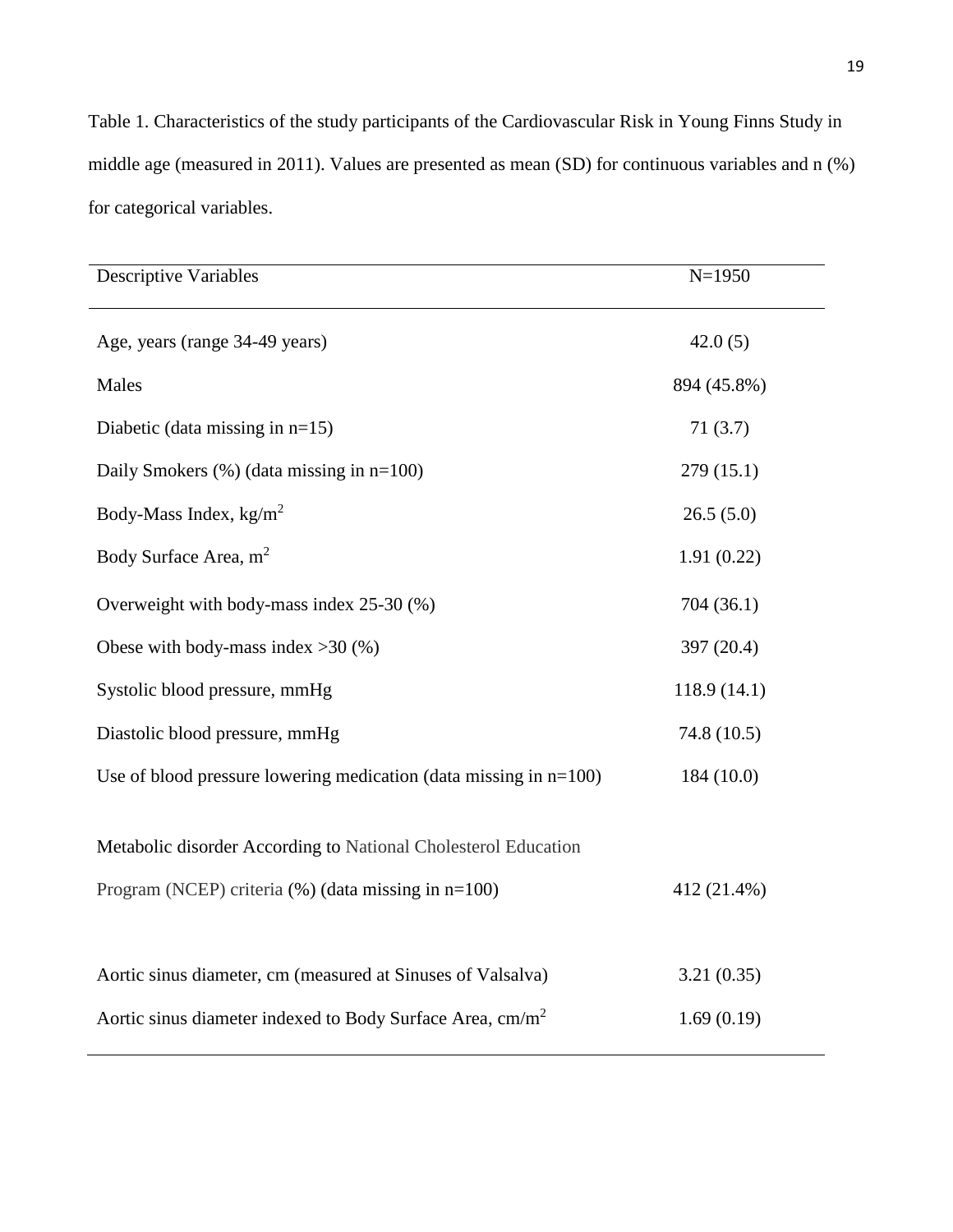Table 1. Characteristics of the study participants of the Cardiovascular Risk in Young Finns Study in middle age (measured in 2011). Values are presented as mean (SD) for continuous variables and n (%) for categorical variables.

| <b>Descriptive Variables</b>                                          | $N=1950$     |
|-----------------------------------------------------------------------|--------------|
| Age, years (range 34-49 years)                                        | 42.0(5)      |
| Males                                                                 | 894 (45.8%)  |
| Diabetic (data missing in $n=15$ )                                    | 71(3.7)      |
| Daily Smokers $(\%)$ (data missing in $n=100$ )                       | 279(15.1)    |
| Body-Mass Index, $kg/m2$                                              | 26.5(5.0)    |
| Body Surface Area, m <sup>2</sup>                                     | 1.91(0.22)   |
| Overweight with body-mass index 25-30 (%)                             | 704(36.1)    |
| Obese with body-mass index $>30$ (%)                                  | 397 (20.4)   |
| Systolic blood pressure, mmHg                                         | 118.9 (14.1) |
| Diastolic blood pressure, mmHg                                        | 74.8 (10.5)  |
| Use of blood pressure lowering medication (data missing in $n=100$ )  | 184 (10.0)   |
| Metabolic disorder According to National Cholesterol Education        |              |
| Program (NCEP) criteria $(\%)$ (data missing in $n=100$ )             | 412 (21.4%)  |
|                                                                       |              |
| Aortic sinus diameter, cm (measured at Sinuses of Valsalva)           | 3.21(0.35)   |
| Aortic sinus diameter indexed to Body Surface Area, cm/m <sup>2</sup> | 1.69(0.19)   |

ֺ֖֚֝֬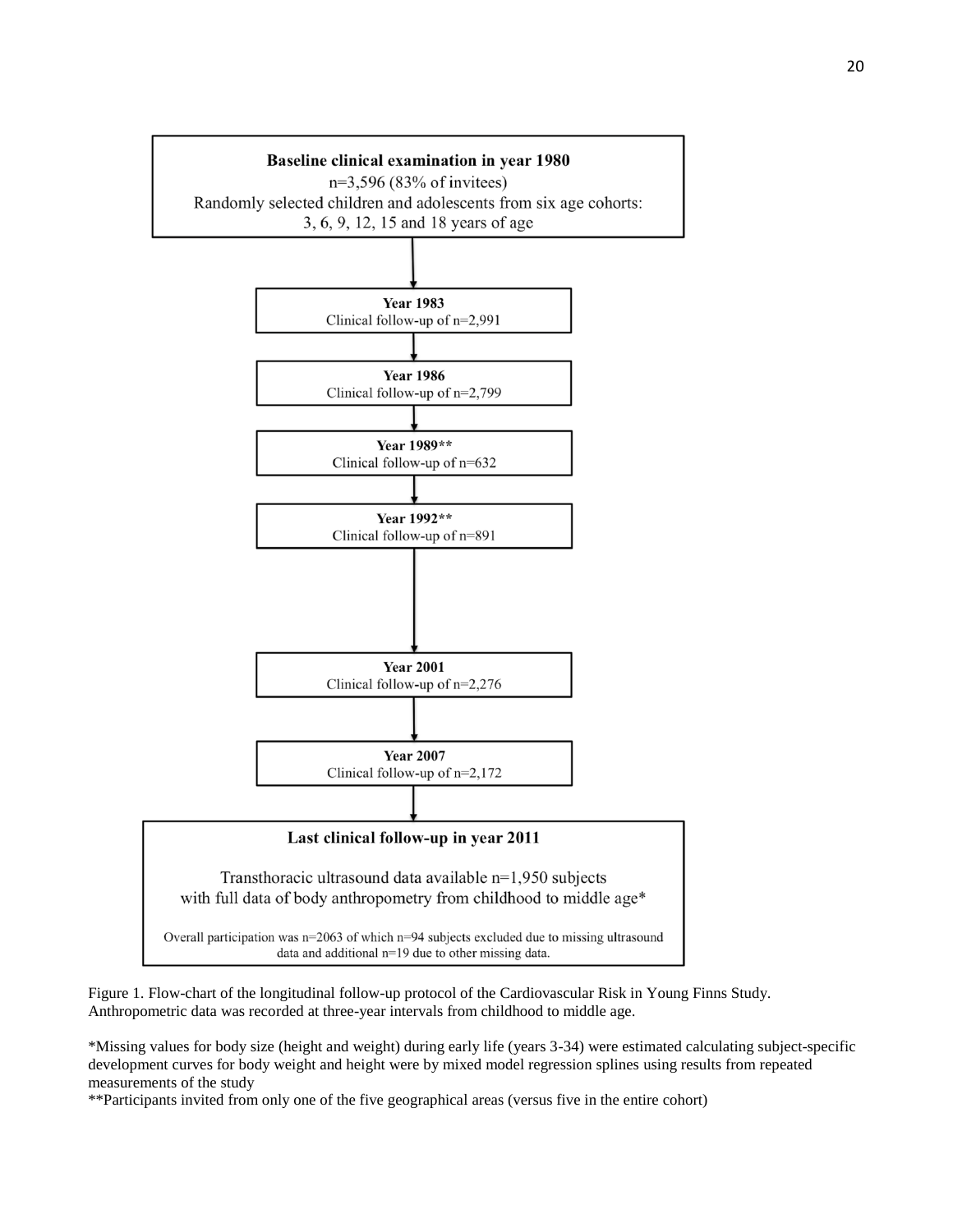

Figure 1. Flow-chart of the longitudinal follow-up protocol of the Cardiovascular Risk in Young Finns Study. Anthropometric data was recorded at three-year intervals from childhood to middle age.

\*Missing values for body size (height and weight) during early life (years 3-34) were estimated calculating subject-specific development curves for body weight and height were by mixed model regression splines using results from repeated measurements of the study

\*\*Participants invited from only one of the five geographical areas (versus five in the entire cohort)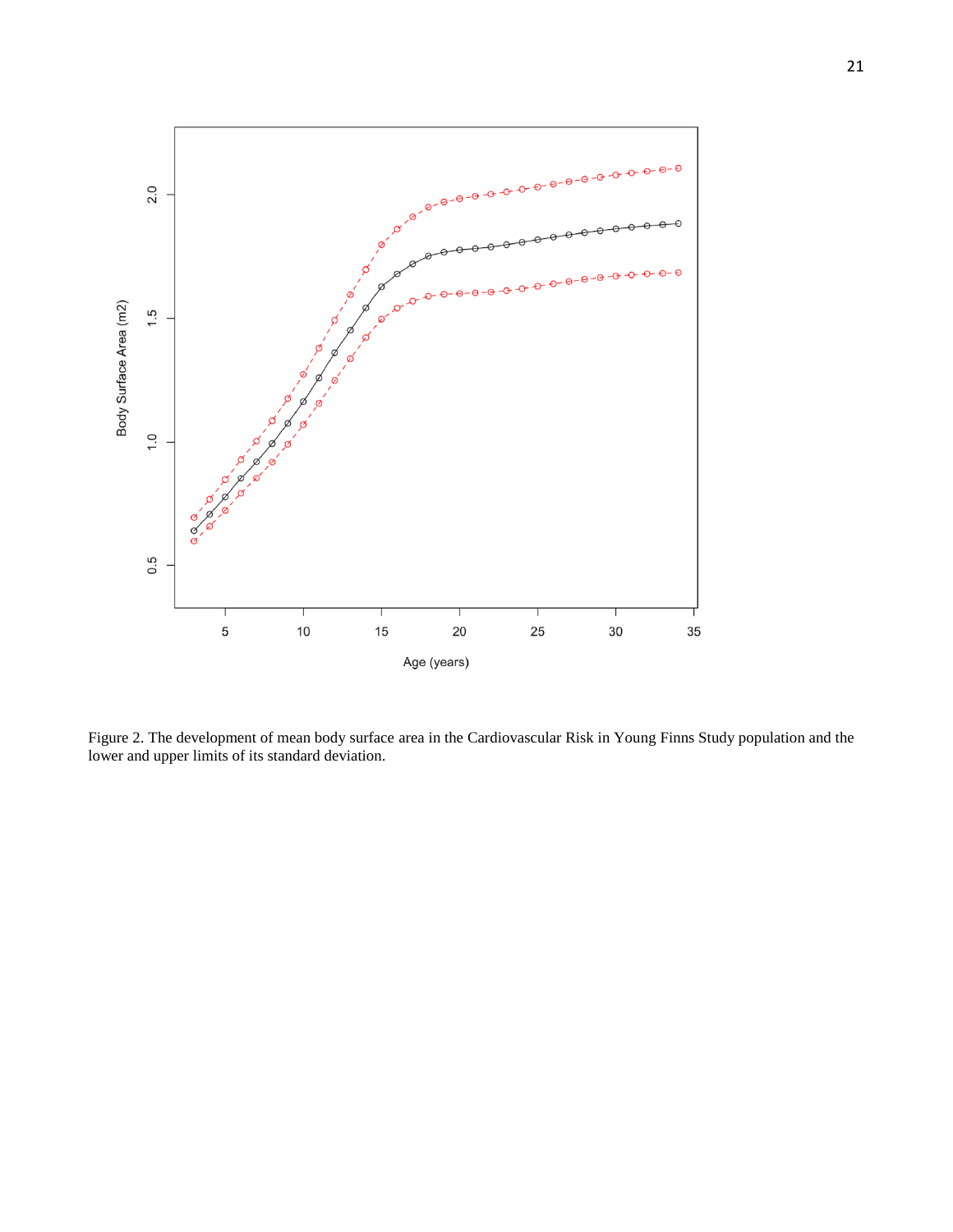

Figure 2. The development of mean body surface area in the Cardiovascular Risk in Young Finns Study population and the lower and upper limits of its standard deviation.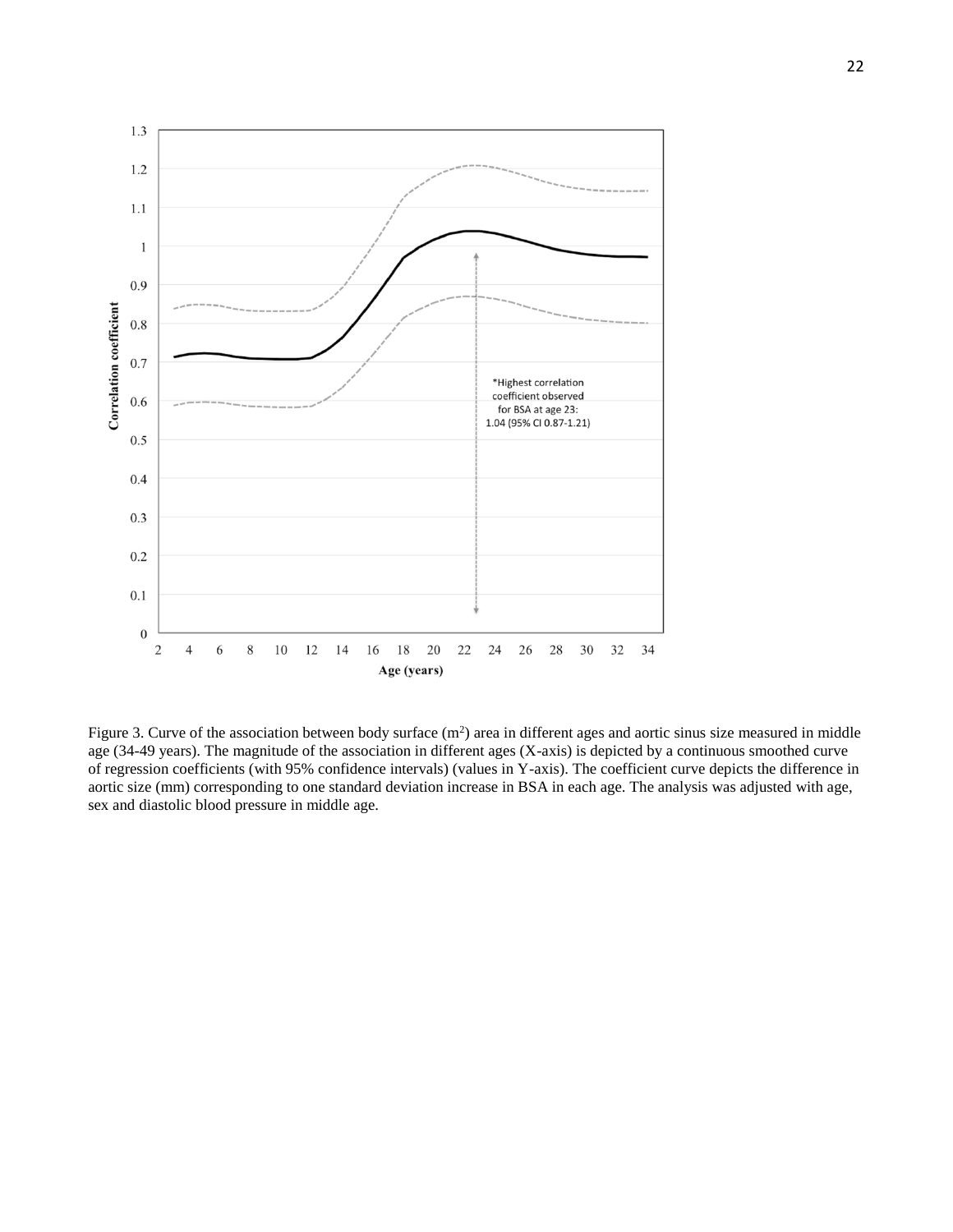

Figure 3. Curve of the association between body surface  $(m^2)$  area in different ages and aortic sinus size measured in middle age (34-49 years). The magnitude of the association in different ages (X-axis) is depicted by a continuous smoothed curve of regression coefficients (with 95% confidence intervals) (values in Y-axis). The coefficient curve depicts the difference in aortic size (mm) corresponding to one standard deviation increase in BSA in each age. The analysis was adjusted with age, sex and diastolic blood pressure in middle age.